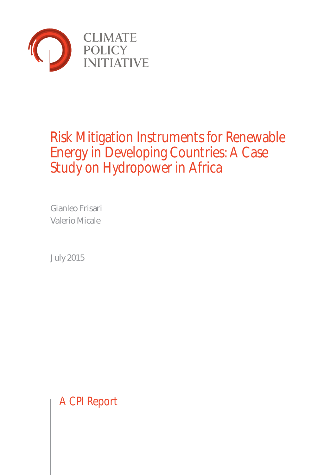

# Risk Mitigation Instruments for Renewable Energy in Developing Countries: A Case Study on Hydropower in Africa

Gianleo Frisari Valerio Micale

July 2015

A CPI Report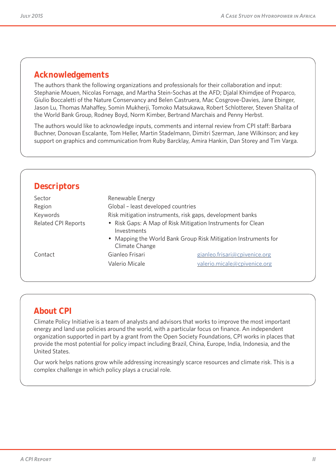## **Acknowledgements**

The authors thank the following organizations and professionals for their collaboration and input: Stephanie Mouen, Nicolas Fornage, and Martha Stein-Sochas at the AFD; Djalal Khimdjee of Proparco, Giulio Boccaletti of the Nature Conservancy and Belen Castruera, Mac Cosgrove-Davies, Jane Ebinger, Jason Lu, Thomas Mahaffey, Somin Mukherji, Tomoko Matsukawa, Robert Schlotterer, Steven Shalita of the World Bank Group, Rodney Boyd, Norm Kimber, Bertrand Marchais and Penny Herbst.

The authors would like to acknowledge inputs, comments and internal review from CPI staff: Barbara Buchner, Donovan Escalante, Tom Heller, Martin Stadelmann, Dimitri Szerman, Jane Wilkinson; and key support on graphics and communication from Ruby Barcklay, Amira Hankin, Dan Storey and Tim Varga.

| <b>Descriptors</b>         |                                                                            |                                                                |  |  |  |
|----------------------------|----------------------------------------------------------------------------|----------------------------------------------------------------|--|--|--|
| Sector                     | Renewable Energy                                                           |                                                                |  |  |  |
| Region                     | Global - least developed countries                                         |                                                                |  |  |  |
| Keywords                   |                                                                            | Risk mitigation instruments, risk gaps, development banks      |  |  |  |
| <b>Related CPI Reports</b> | • Risk Gaps: A Map of Risk Mitigation Instruments for Clean<br>Investments |                                                                |  |  |  |
|                            | Climate Change                                                             | • Mapping the World Bank Group Risk Mitigation Instruments for |  |  |  |
| Contact                    | Gianleo Frisari                                                            | gianleo.frisari@cpivenice.org                                  |  |  |  |
|                            | Valerio Micale                                                             | valerio.micale@cpivenice.org                                   |  |  |  |

## **About CPI**

Climate Policy Initiative is a team of analysts and advisors that works to improve the most important energy and land use policies around the world, with a particular focus on finance. An independent organization supported in part by a grant from the Open Society Foundations, CPI works in places that provide the most potential for policy impact including Brazil, China, Europe, India, Indonesia, and the United States.

Our work helps nations grow while addressing increasingly scarce resources and climate risk. This is a complex challenge in which policy plays a crucial role.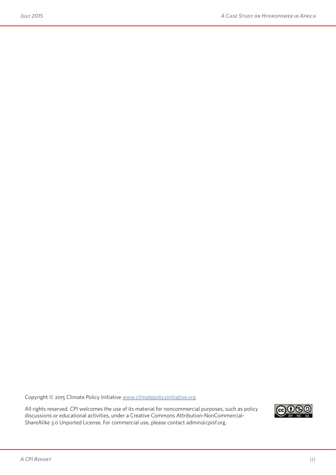Copyright © 2015 Climate Policy Initiative www.climatepolicyinitiative.org

All rights reserved. CPI welcomes the use of its material for noncommercial purposes, such as policy discussions or educational activities, under a Creative Commons Attribution-NonCommercial-ShareAlike 3.0 Unported License. For commercial use, please contact admin@cpisf.org.

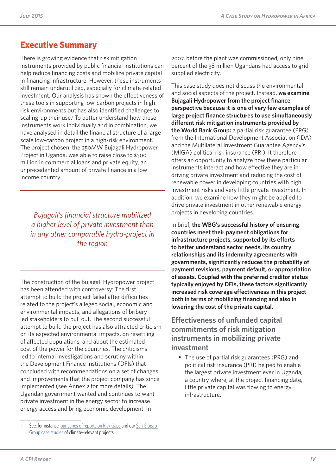## **Executive Summary**

There is growing evidence that risk mitigation instruments provided by public financial institutions can help reduce financing costs and mobilize private capital in financing infrastructure. However, these instruments still remain underutilized, especially for climate-related investment. Our analysis has shown the effectiveness of these tools in supporting low-carbon projects in highrisk environments but has also identified challenges to scaling-up their use.<sup>1</sup> To better understand how these instruments work individually and in combination, we have analysed in detail the financial structure of a large scale low-carbon project in a high-risk environment. The project chosen, the 250MW Bujagali Hydropower Project in Uganda, was able to raise close to \$300 million in commercial loans and private equity, an unprecedented amount of private finance in a low income country.

*Bujagali's financial structure mobilized a higher level of private investment than in any other comparable hydro-project in the region*

The construction of the Bujagali Hydropower project has been attended with controversy: The first attempt to build the project failed after difficulties related to the project's alleged social, economic and environmental impacts, and allegations of bribery led stakeholders to pull out. The second successful attempt to build the project has also attracted criticism on its expected environmental impacts, on resettling of affected populations, and about the estimated cost of the power for the countries. The criticisms led to internal investigations and scrutiny within the Development Finance Institutions (DFIs) that concluded with recommendations on a set of changes and improvements that the project company has since implemented (see Annex 2 for more details). The Ugandan government wanted and continues to want private investment in the energy sector to increase energy access and bring economic development. In

2007, before the plant was commissioned, only nine percent of the 38 million Ugandans had access to gridsupplied electricity.

This case study does not discuss the environmental and social aspects of the project. Instead, **we examine Bujagali Hydropower from the project finance perspective because it is one of very few examples of large project finance structures to use simultaneously different risk mitigation instruments provided by the World Bank Group:** a partial risk guarantee (PRG) from the International Development Association (IDA) and the Multilateral Investment Guarantee Agency's (MIGA) political risk insurance (PRI). It therefore offers an opportunity to analyze how these particular instruments interact and how effective they are in driving private investment and reducing the cost of renewable power in developing countries with high investment risks and very little private investment. In addition, we examine how they might be applied to drive private investment in other renewable energy projects in developing countries.

In brief, **the WBG's successful history of ensuring countries meet their payment obligations for infrastructure projects, supported by its efforts to better understand sector needs, its country relationships and its indemnity agreements with governments, significantly reduces the probability of payment revisions, payment default, or appropriation of assets. Coupled with the preferred creditor status typically enjoyed by DFIs, these factors significantly increased risk coverage effectiveness in this project both in terms of mobilizing financing and also in lowering the cost of the private capital.**

**Effectiveness of unfunded capital commitments of risk mitigation instruments in mobilizing private investment**

• The use of partial risk guarantees (PRG) and political risk insurance (PRI) helped to enable the largest private investment ever in Uganda, a country where, at the project financing date, little private capital was flowing to energy infrastructure.

<sup>1</sup> See, for instance, our series of reports on Risk Gaps and our San Giorgio Group case studies of climate-relevant projects.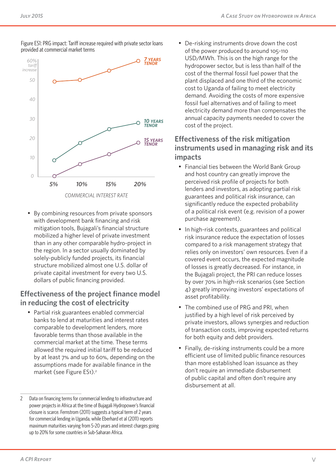

Figure ES1: PRG impact: Tariff increase required with private sector loans provided at commercial market terms

- By combining resources from private sponsors
- with development bank financing and risk mitigation tools, Bujagali's financial structure mobilized a higher level of private investment than in any other comparable hydro-project in the region. In a sector usually dominated by solely-publicly funded projects, its financial structure mobilized almost one U.S. dollar of private capital investment for every two U.S. dollars of public financing provided.

## **Effectiveness of the project finance model in reducing the cost of electricity**

• Partial risk guarantees enabled commercial banks to lend at maturities and interest rates comparable to development lenders, more favorable terms than those available in the commercial market at the time. These terms allowed the required initial tariff to be reduced by at least 7% and up to 60%, depending on the assumptions made for available finance in the market (see Figure ES1).<sup>2</sup>

De-risking instruments drove down the cost of the power produced to around 105-110 USD/MWh. This is on the high range for the hydropower sector, but is less than half of the cost of the thermal fossil fuel power that the plant displaced and one third of the economic cost to Uganda of failing to meet electricity demand. Avoiding the costs of more expensive fossil fuel alternatives and of failing to meet electricity demand more than compensates the annual capacity payments needed to cover the cost of the project.

## **Effectiveness of the risk mitigation instruments used in managing risk and its impacts**

- Financial ties between the World Bank Group and host country can greatly improve the perceived risk profile of projects for both lenders and investors, as adopting partial risk guarantees and political risk insurance, can significantly reduce the expected probability of a political risk event (e.g. revision of a power purchase agreement).
- In high-risk contexts, guarantees and political risk insurance reduce the expectation of losses compared to a risk management strategy that relies only on investors' own resources. Even if a covered event occurs, the expected magnitude of losses is greatly decreased. For instance, in the Bujagali project, the PRI can reduce losses by over 70% in high-risk scenarios (see Section 4) greatly improving investors' expectations of asset profitability.
- The combined use of PRG and PRI, when justified by a high level of risk perceived by private investors, allows synergies and reduction of transaction costs, improving expected returns for both equity and debt providers.
- Finally, de-risking instruments could be a more efficient use of limited public finance resources than more established loan issuance as they don't require an immediate disbursement of public capital and often don't require any disbursement at all.

<sup>2</sup> Data on financing terms for commercial lending to infrastructure and power projects in Africa at the time of Bujagali Hydropower's financial closure is scarce. Fernstrom (2011) suggests a typical term of 2 years for commercial lending in Uganda, while Eberhard et al (2011) reports maximum maturities varying from 5-20 years and interest charges going up to 20% for some countries in Sub-Saharan Africa.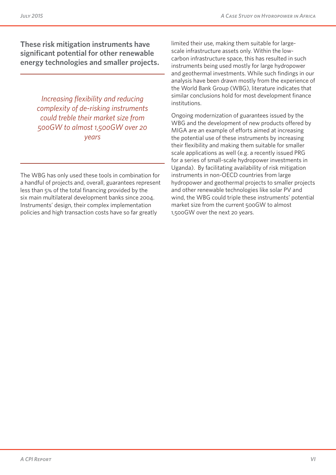**These risk mitigation instruments have significant potential for other renewable energy technologies and smaller projects.**

> *Increasing flexibility and reducing complexity of de-risking instruments could treble their market size from 500GW to almost 1,500GW over 20 years*

The WBG has only used these tools in combination for a handful of projects and, overall, guarantees represent less than 5% of the total financing provided by the six main multilateral development banks since 2004. Instruments' design, their complex implementation policies and high transaction costs have so far greatly

limited their use, making them suitable for largescale infrastructure assets only. Within the lowcarbon infrastructure space, this has resulted in such instruments being used mostly for large hydropower and geothermal investments. While such findings in our analysis have been drawn mostly from the experience of the World Bank Group (WBG), literature indicates that similar conclusions hold for most development finance institutions.

Ongoing modernization of guarantees issued by the WBG and the development of new products offered by MIGA are an example of efforts aimed at increasing the potential use of these instruments by increasing their flexibility and making them suitable for smaller scale applications as well (e.g. a recently issued PRG for a series of small-scale hydropower investments in Uganda). By facilitating availability of risk mitigation instruments in non-OECD countries from large hydropower and geothermal projects to smaller projects and other renewable technologies like solar PV and wind, the WBG could triple these instruments' potential market size from the current 500GW to almost 1,500GW over the next 20 years.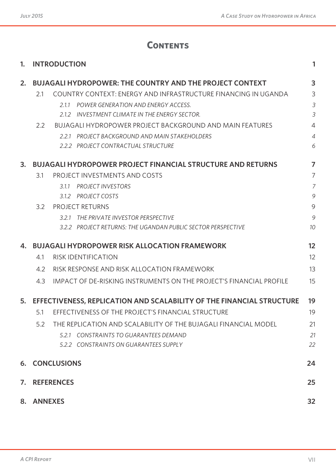## **Contents**

| 1. |                | <b>INTRODUCTION</b>                                                   | 1              |
|----|----------------|-----------------------------------------------------------------------|----------------|
| 2. |                | <b>BUJAGALI HYDROPOWER: THE COUNTRY AND THE PROJECT CONTEXT</b>       | 3              |
|    | 2.1            | COUNTRY CONTEXT: ENERGY AND INFRASTRUCTURE FINANCING IN UGANDA        | 3              |
|    |                | 2.1.1<br>POWER GENERATION AND ENERGY ACCESS.                          | 3              |
|    |                | 2.1.2 INVESTMENT CLIMATE IN THE ENERGY SECTOR.                        | 3              |
|    | 2.2            | <b>BUJAGALI HYDROPOWER PROJECT BACKGROUND AND MAIN FEATURES</b>       | $\overline{4}$ |
|    |                | 2.2.1 PROJECT BACKGROUND AND MAIN STAKEHOLDERS                        | $\overline{4}$ |
|    |                | 2.2.2 PROJECT CONTRACTUAL STRUCTURE                                   | 6              |
| 3. |                | <b>BUJAGALI HYDROPOWER PROJECT FINANCIAL STRUCTURE AND RETURNS</b>    | $\overline{ }$ |
|    | 3.1            | PROJECT INVESTMENTS AND COSTS                                         | 7              |
|    |                | 3.1.1<br><b>PROJECT INVESTORS</b>                                     | $\overline{7}$ |
|    |                | 3.1.2 PROJECT COSTS                                                   | 9              |
|    | 3.2            | <b>PROJECT RETURNS</b>                                                | 9              |
|    |                | 3.2.1 THE PRIVATE INVESTOR PERSPECTIVE                                | 9              |
|    |                | 3.2.2 PROJECT RETURNS: THE UGANDAN PUBLIC SECTOR PERSPECTIVE          | 10             |
| 4. |                | <b>BUJAGALI HYDROPOWER RISK ALLOCATION FRAMEWORK</b>                  | 12             |
|    | 4.1            | <b>RISK IDENTIFICATION</b>                                            | 12             |
|    | 4.2            | RISK RESPONSE AND RISK ALLOCATION FRAMEWORK                           | 13             |
|    | 4.3            | IMPACT OF DE-RISKING INSTRUMENTS ON THE PROJECT'S FINANCIAL PROFILE   | 15             |
| 5. |                | EFFECTIVENESS, REPLICATION AND SCALABILITY OF THE FINANCIAL STRUCTURE | 19             |
|    |                | 5.1 EFFECTIVENESS OF THE PROJECT'S FINANCIAL STRUCTURE                | 19             |
|    | 5.2            | THE REPLICATION AND SCALABILITY OF THE BUJAGALI FINANCIAL MODEL       | 21             |
|    |                | 5.2.1 CONSTRAINTS TO GUARANTEES DEMAND                                | 21             |
|    |                | 5.2.2 CONSTRAINTS ON GUARANTEES SUPPLY                                | 22             |
| 6. |                | <b>CONCLUSIONS</b>                                                    | 24             |
| 7. |                | <b>REFERENCES</b>                                                     | 25             |
| 8. | <b>ANNEXES</b> |                                                                       | 32             |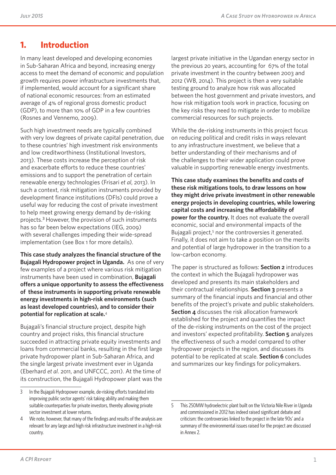## **1. Introduction**

In many least developed and developing economies in Sub-Saharan Africa and beyond, increasing energy access to meet the demand of economic and population growth requires power infrastructure investments that, if implemented, would account for a significant share of national economic resources: from an estimated average of 4% of regional gross domestic product (GDP), to more than 10% of GDP in a few countries (Rosnes and Vennemo, 2009).

Such high investment needs are typically combined with very low degrees of private capital penetration, due to these countries' high investment risk environments and low creditworthiness (Institutional Investors, 2013). These costs increase the perception of risk and exacerbate efforts to reduce these countries' emissions and to support the penetration of certain renewable energy technologies (Frisari *et al*, 2013). In such a context, risk mitigation instruments provided by development finance institutions (DFIs) could prove a useful way for reducing the cost of private investment to help meet growing energy demand by de-risking projects.<sup>3</sup> However, the provision of such instruments has so far been below expectations (IEG, 2009) with several challenges impeding their wide-spread implementation (see Box 1 for more details).

**This case study analyzes the financial structure of the Bujagali Hydropower project in Uganda.** As one of very few examples of a project where various risk mitigation instruments have been used in combination, **Bujagali offers a unique opportunity to assess the effectiveness of these instruments in supporting private renewable energy investments in high-risk environments (such as least developed countries), and to consider their potential for replication at scale.**<sup>4</sup>

Bujagali's financial structure project, despite high country and project risks, this financial structure succeeded in attracting private equity investments and loans from commercial banks, resulting in the first large private hydropower plant in Sub-Saharan Africa, and the single largest private investment ever in Uganda (Eberhard *et al*. 2011, and UNFCCC, 2011). At the time of its construction, the Bujagali Hydropower plant was the largest private initiative in the Ugandan energy sector in the previous 20 years, accounting for 67% of the total private investment in the country between 2003 and 2012 (WB, 2014). This project is then a very suitable testing ground to analyze how risk was allocated between the host government and private investors, and how risk mitigation tools work in practice, focusing on the key risks they need to mitigate in order to mobilize commercial resources for such projects.

While the de-risking instruments in this project focus on reducing political and credit risks in ways relevant to any infrastructure investment, we believe that a better understanding of their mechanisms and of the challenges to their wider application could prove valuable in supporting renewable energy investments.

**This case study examines the benefits and costs of these risk mitigations tools, to draw lessons on how they might drive private investment in other renewable energy projects in developing countries, while lowering capital costs and increasing the affordability of power for the country.** It does not evaluate the overall economic, social and environmental impacts of the Bujagali project,<sup>5</sup> nor the controversies it generated. Finally, it does not aim to take a position on the merits and potential of large hydropower in the transition to a low-carbon economy.

The paper is structured as follows: **Section 2** introduces the context in which the Bujagali hydropower was developed and presents its main stakeholders and their contractual relationships. **Section 3** presents a summary of the financial inputs and financial and other benefits of the project's private and public stakeholders. **Section 4** discusses the risk allocation framework established for the project and quantifies the impact of the de-risking instruments on the cost of the project and investors' expected profitability. **Section 5** analyzes the effectiveness of such a model compared to other hydropower projects in the region, and discusses its potential to be replicated at scale. **Section 6** concludes and summarizes our key findings for policymakers.

<sup>3</sup> In the Bujagali Hydropower example, de-risking efforts translated into improving public sector agents' risk taking ability and making them suitable counterparties for private investors, thereby allowing private sector investment at lower returns.

<sup>4</sup> We note, however, that many of the findings and results of the analysis are relevant for any large and high risk infrastructure investment in a high-risk country.

<sup>5</sup> This 250MW hydroelectric plant built on the Victoria Nile River in Uganda and commissioned in 2012 has indeed raised significant debate and criticism: the controversies linked to the project in the late 90s' and a summary of the environmental issues raised for the project are discussed in Annex 2.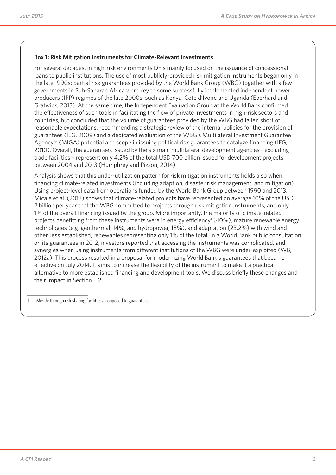#### **Box 1: Risk Mitigation Instruments for Climate-Relevant Investments**

For several decades, in high-risk environments DFIs mainly focused on the issuance of concessional loans to public institutions. The use of most publicly-provided risk mitigation instruments began only in the late 1990s: partial risk guarantees provided by the World Bank Group (WBG) together with a few governments in Sub-Saharan Africa were key to some successfully implemented independent power producers (IPP) regimes of the late 2000s, such as Kenya, Cote d'Ivoire and Uganda (Eberhard and Gratwick, 2013). At the same time, the Independent Evaluation Group at the World Bank confirmed the effectiveness of such tools in facilitating the flow of private investments in high-risk sectors and countries, but concluded that the volume of guarantees provided by the WBG had fallen short of reasonable expectations, recommending a strategic review of the internal policies for the provision of guarantees (IEG, 2009) and a dedicated evaluation of the WBG's Multilateral Investment Guarantee Agency's (MIGA) potential and scope in issuing political risk guarantees to catalyze financing (IEG, 2010). Overall, the guarantees issued by the six main multilateral development agencies - excluding trade facilities – represent only 4.2% of the total USD 700 billion issued for development projects between 2004 and 2013 (Humphrey and Pizzon, 2014).

Analysis shows that this under-utilization pattern for risk mitigation instruments holds also when financing climate-related investments (including adaption, disaster risk management, and mitigation). Using project-level data from operations funded by the World Bank Group between 1990 and 2013, Micale et al. (2013) shows that climate-related projects have represented on average 10% of the USD 2 billion per year that the WBG committed to projects through risk mitigation instruments, and only 1% of the overall financing issued by the group. More importantly, the majority of climate-related projects benefitting from these instruments were in energy efficiency<sup>1</sup> (40%), mature renewable energy technologies (e.g. geothermal, 14%, and hydropower, 18%), and adaptation (23.2%) with wind and other, less established, renewables representing only 1% of the total. In a World Bank public consultation on its guarantees in 2012, investors reported that accessing the instruments was complicated, and synergies when using instruments from different institutions of the WBG were under-exploited (WB, 2012a). This process resulted in a proposal for modernizing World Bank's guarantees that became effective on July 2014. It aims to increase the flexibility of the instrument to make it a practical alternative to more established financing and development tools. We discuss briefly these changes and their impact in Section 5.2.

1 Mostly through risk sharing facilities as opposed to guarantees.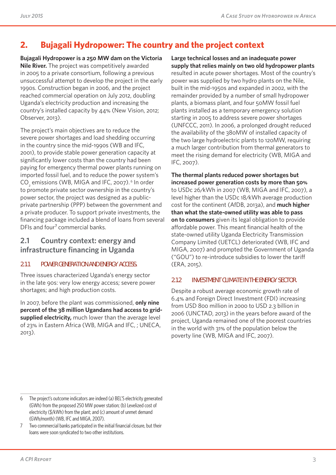## **2. Bujagali Hydropower: The country and the project context**

**Bujagali Hydropower is a 250 MW dam on the Victoria Nile River.** The project was competitively awarded in 2005 to a private consortium, following a previous unsuccessful attempt to develop the project in the early 1990s. Construction began in 2006, and the project reached commercial operation on July 2012, doubling Uganda's electricity production and increasing the country's installed capacity by 44% (New Vision, 2012; Observer, 2013).

The project's main objectives are to reduce the severe power shortages and load shedding occurring in the country since the mid-1990s (WB and IFC, 2001), to provide stable power generation capacity at significantly lower costs than the country had been paying for emergency thermal power plants running on imported fossil fuel, and to reduce the power system's  $CO<sub>2</sub>$  emissions (WB, MIGA and IFC, 2007).<sup>6</sup> In order to promote private sector ownership in the country's power sector, the project was designed as a publicprivate partnership (PPP) between the government and a private producer. To support private investments, the financing package included a blend of loans from several DFIs and four<sup>7</sup> commercial banks.

## **2.1 Country context: energy and infrastructure financing in Uganda**

### **2.1.1 POWER GENERATION AND ENERGY ACCESS.**

Three issues characterized Uganda's energy sector in the late 90s: very low energy access; severe power shortages; and high production costs.

In 2007, before the plant was commissioned, **only nine percent of the 38 million Ugandans had access to gridsupplied electricity,** much lower than the average level of 23% in Eastern Africa (WB, MIGA and IFC, ; UNECA, 2013).

**Large technical losses and an inadequate power supply that relies mainly on two old hydropower plants** resulted in acute power shortages. Most of the country's power was supplied by two hydro plants on the Nile, built in the mid-1950s and expanded in 2002, with the remainder provided by a number of small hydropower plants, a biomass plant, and four 50MW fossil fuel plants installed as a temporary emergency solution starting in 2005 to address severe power shortages (UNFCCC, 2011). In 2006, a prolonged drought reduced the availability of the 380MW of installed capacity of the two large hydroelectric plants to 120MW, requiring a much larger contribution from thermal generators to meet the rising demand for electricity (WB, MIGA and IFC, 2007).

**The thermal plants reduced power shortages but increased power generation costs by more than 50%** to USDc 26/kWh in 2007 (WB, MIGA and IFC, 2007), a level higher than the USDc 18/kWh average production cost for the continent (AfDB, 2013a), and **much higher than what the state-owned utility was able to pass on to consumers** given its legal obligation to provide affordable power. This meant financial health of the state-owned utility Uganda Electricity Transmission Company Limited (UETCL) deteriorated (WB, IFC and MIGA, 2007) and prompted the Government of Uganda ("GOU") to re-introduce subsidies to lower the tariff (ERA, 2015).

#### **2.1.2 INVESTMENT CLIMATE IN THE ENERGY SECTOR.**

Despite a robust average economic growth rate of 6.4% and Foreign Direct Investment (FDI) increasing from USD 800 million in 2000 to USD 2.3 billion in 2006 (UNCTAD, 2013) in the years before award of the project, Uganda remained one of the poorest countries in the world with 31% of the population below the poverty line (WB, MIGA and IFC, 2007).

<sup>6</sup> The project's outcome indicators are indeed (a) BEL'S electricity generated (GWh) from the proposed 250 MW power station; (b) Levelized cost of electricity (\$/kWh) from the plant; and (c) amount of unmet demand (GWh/month) (WB, IFC and MIGA, 2007).

<sup>7</sup> Two commercial banks participated in the initial financial closure, but their loans were soon syndicated to two other institutions.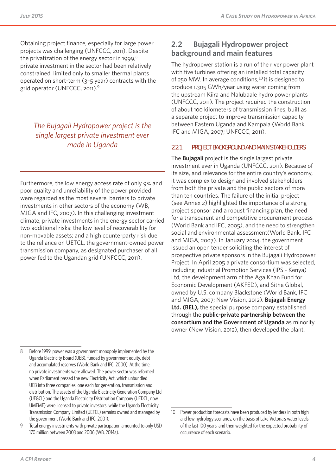Obtaining project finance, especially for large power projects was challenging (UNFCCC, 2011). Despite the privatization of the energy sector in 1999, $8$ private investment in the sector had been relatively constrained, limited only to smaller thermal plants operated on short-term (3–5 year) contracts with the grid operator (UNFCCC, 2011).9

## *The Bujagali Hydropower project is the single largest private investment ever made in Uganda*

Furthermore, the low energy access rate of only 9% and poor quality and unreliability of the power provided were regarded as the most severe barriers to private investments in other sectors of the economy (WB, MIGA and IFC, 2007). In this challenging investment climate, private investments in the energy sector carried two additional risks: the low level of recoverability for non-movable assets; and a high counterparty risk due to the reliance on UETCL, the government-owned power transmission company, as designated purchaser of all power fed to the Ugandan grid (UNFCCC, 2011).

### **2.2 Bujagali Hydropower project background and main features**

The hydropower station is a run of the river power plant with five turbines offering an installed total capacity of 250 MW. In average conditions,<sup>10</sup> it is designed to produce 1,305 GWh/year using water coming from the upstream Kiira and Nalubaale hydro power plants (UNFCCC, 2011). The project required the construction of about 100 kilometers of transmission lines, built as a separate project to improve transmission capacity between Eastern Uganda and Kampala (World Bank, IFC and MIGA, 2007; UNFCCC, 2011).

### **2.2.1 PROJECT BACKGROUND AND MAIN STAKEHOLDERS**

The **Bujagali** project is the single largest private investment ever in Uganda (UNFCCC, 2011). Because of its size, and relevance for the entire country's economy, it was complex to design and involved stakeholders from both the private and the public sectors of more than ten countries. The failure of the initial project (see Annex 2) highlighted the importance of a strong project sponsor and a robust financing plan, the need for a transparent and competitive procurement process (World Bank and IFC, 2005), and the need to strengthen social and environmental assessment(World Bank, IFC and MIGA, 2007). In January 2004, the government issued an open tender soliciting the interest of prospective private sponsors in the Bujagali Hydropower Project. In April 2005 a private consortium was selected, including Industrial Promotion Services (IPS - Kenya) Ltd, the development arm of the Aga Khan Fund for Economic Development (AKFED), and Sithe Global, owned by U.S. company Blackstone (World Bank, IFC and MIGA, 2007; New Vision, 2012). **Bujagali Energy Ltd. (BEL),** the special purpose company established through the **public-private partnership between the consortium and the Government of Uganda** as minority owner (New Vision, 2012), then developed the plant.

<sup>8</sup> Before 1999, power was a government monopoly implemented by the Uganda Electricity Board (UEB), funded by government equity, debt and accumulated reserves (World Bank and IFC, 2000). At the time, no private investments were allowed. The power sector was reformed when Parliament passed the new Electricity Act, which unbundled UEB into three companies, one each for generation, transmission and distribution. The assets of the Uganda Electricity Generation Company Ltd (UEGCL) and the Uganda Electricity Distribution Company (UEDCL, now UMEME) were licensed to private investors, while the Uganda Electricity Transmission Company Limited (UETCL) remains owned and managed by the government (World Bank and IFC, 2001).

<sup>9</sup> Total energy investments with private participation amounted to only USD 170 million between 2003 and 2006 (WB, 2014a).

<sup>10</sup> Power production forecasts have been produced by lenders in both high and low hydrology scenarios, on the basis of Lake Victoria's water levels of the last 100 years, and then weighted for the expected probability of occurrence of each scenario.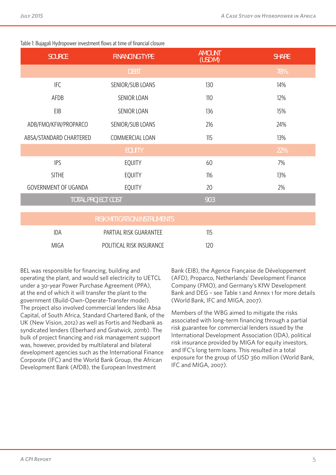| <b>SOURCE</b>           | <b>FINANCING TYPE</b>              | <b>AMOUNT</b><br>(USD M) | <b>SHARE</b> |
|-------------------------|------------------------------------|--------------------------|--------------|
|                         | <b>DEBT</b>                        |                          | 78%          |
| <b>IFC</b>              | SENIOR/SUB LOANS                   | 130                      | 14%          |
| AFDB                    | <b>SENIOR LOAN</b>                 | 110                      | 12%          |
| EIB                     | SENIOR LOAN                        | 136                      | 15%          |
| ADB/FMO/KFW/PROPARCO    | SENIOR/SUB LOANS                   | 216                      | 24%          |
| ABSA/STANDARD CHARTERED | COMMERCIAL LOAN                    | 115                      | 13%          |
|                         | <b>EQUITY</b>                      |                          | 22%          |
| <b>IPS</b>              | <b>EQUITY</b>                      | 60                       | 7%           |
| <b>SITHE</b>            | <b>EQUITY</b>                      | 116                      | 13%          |
| GOVERNMENT OF UGANDA    | <b>EQUITY</b>                      | 20                       | 2%           |
|                         | <b>TOTAL PROJECT COST</b>          | 903                      |              |
|                         | <b>RISK MITIGATION INSTRUMENTS</b> |                          |              |
| <b>IDA</b>              | PARTIAL RISK GUARANTEE             | 115                      |              |
| <b>MIGA</b>             | POLITICAL RISK INSURANCE           | 120                      |              |

#### Table 1: Bujagali Hydropower investment flows at time of financial closure

BEL was responsible for financing, building and operating the plant, and would sell electricity to UETCL under a 30-year Power Purchase Agreement (PPA), at the end of which it will transfer the plant to the government (Build-Own-Operate-Transfer model). The project also involved commercial lenders like Absa Capital, of South Africa, Standard Chartered Bank, of the UK (New Vision, 2012) as well as Fortis and Nedbank as syndicated lenders (Eberhard and Gratwick, 2011b). The bulk of project financing and risk management support was, however, provided by multilateral and bilateral development agencies such as the International Finance Corporate (IFC) and the World Bank Group, the African Development Bank (AfDB), the European Investment

Bank (EIB), the Agence Française de Développement (AFD), Proparco, Netherlands' Development Finance Company (FMO), and Germany's KfW Development Bank and DEG – see Table 1 and Annex 1 for more details (World Bank, IFC and MIGA, 2007).

Members of the WBG aimed to mitigate the risks associated with long-term financing through a partial risk guarantee for commercial lenders issued by the International Development Association (IDA), political risk insurance provided by MIGA for equity investors, and IFC's long term loans. This resulted in a total exposure for the group of USD 360 million (World Bank, IFC and MIGA, 2007).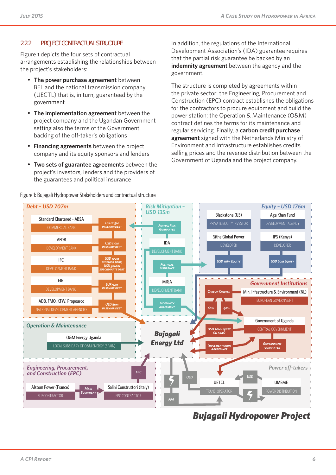### **2.2.2 PROJECT CONTRACTUAL STRUCTURE**

Figure 1 depicts the four sets of contractual arrangements establishing the relationships between the project's stakeholders:

- **The power purchase agreement** between BEL and the national transmission company (UECTL) that is, in turn, guaranteed by the government
- **The implementation agreement** between the project company and the Ugandan Government setting also the terms of the Government backing of the off -taker's obligations
- **Financing agreements** between the project company and its equity sponsors and lenders
- **Two sets of guarantee agreements** between the project's investors, lenders and the providers of the guarantees and political insurance

Figure 1: Bujagali Hydropower Stakeholders and contractual structure

In addition, the regulations of the International Development Association's (IDA) guarantee requires that the partial risk guarantee be backed by an **indemnity agreement** between the agency and the government.

The structure is completed by agreements within the private sector: the Engineering, Procurement and Construction (EPC) contract establishes the obligations for the contractors to procure equipment and build the power station; the Operation & Maintenance (O&M) contract defines the terms for its maintenance and regular servicing. Finally, a **carbon credit purchase agreement** signed with the Netherlands Ministry of Environment and Infrastructure establishes credits selling prices and the revenue distribution between the Government of Uganda and the project company.



*Bujagali Hydropower Project*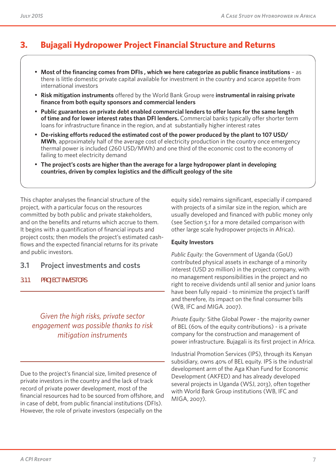## **3. Bujagali Hydropower Project Financial Structure and Returns**

- **Most of the financing comes from DFIs , which we here categorize as public finance institutions** as there is little domestic private capital available for investment in the country and scarce appetite from international investors
- **Risk mitigation instruments** offered by the World Bank Group were **instrumental in raising private finance from both equity sponsors and commercial lenders**
- **Public guarantees on private debt enabled commercial lenders to offer loans for the same length of time and for lower interest rates than DFI lenders.** Commercial banks typically offer shorter term loans for infrastructure finance in the region, and at substantially higher interest rates
- **De-risking efforts reduced the estimated cost of the power produced by the plant to 107 USD/ MWh**, approximately half of the average cost of electricity production in the country once emergency thermal power is included (260 USD/MWh) and one third of the economic cost to the economy of failing to meet electricity demand
- **The project's costs are higher than the average for a large hydropower plant in developing countries, driven by complex logistics and the difficult geology of the site**

This chapter analyses the financial structure of the project, with a particular focus on the resources committed by both public and private stakeholders, and on the benefits and returns which accrue to them. It begins with a quantification of financial inputs and project costs; then models the project's estimated cashflows and the expected financial returns for its private and public investors.

- **3.1 Project investments and costs**
- **3.1.1 PROJECT INVESTORS**

## *Given the high risks, private sector engagement was possible thanks to risk mitigation instruments*

Due to the project's financial size, limited presence of private investors in the country and the lack of track record of private power development, most of the financial resources had to be sourced from offshore, and in case of debt, from public financial institutions (DFIs). However, the role of private investors (especially on the

equity side) remains significant, especially if compared with projects of a similar size in the region, which are usually developed and financed with public money only (see Section 5.1 for a more detailed comparison with other large scale hydropower projects in Africa).

#### **Equity Investors**

*Public Equity:* the Government of Uganda (GoU) contributed physical assets in exchange of a minority interest (USD 20 million) in the project company, with no management responsibilities in the project and no right to receive dividends until all senior and junior loans have been fully repaid - to minimize the project's tariff and therefore, its impact on the final consumer bills (WB, IFC and MIGA. 2007).

*Private Equity:* Sithe Global Power - the majority owner of BEL (60% of the equity contributions) - is a private company for the construction and management of power infrastructure. Bujagali is its first project in Africa.

Industrial Promotion Services (IPS), through its Kenyan subsidiary, owns 40% of BEL equity. IPS is the industrial development arm of the Aga Khan Fund for Economic Development (AKFED) and has already developed several projects in Uganda (WSJ, 2013), often together with World Bank Group institutions (WB, IFC and MIGA, 2007).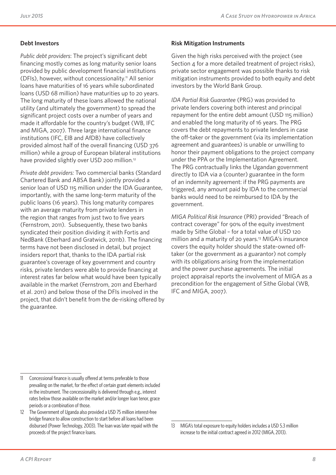### **Debt Investors**

*Public debt providers*: The project's significant debt financing mostly comes as long maturity senior loans provided by public development financial institutions (DFIs), however, without concessionality.11 All senior loans have maturities of 16 years while subordinated loans (USD 68 million) have maturities up to 20 years. The long maturity of these loans allowed the national utility (and ultimately the government) to spread the significant project costs over a number of years and made it affordable for the country's budget (WB, IFC and MIGA, 2007). Three large international finance institutions (IFC, EIB and AfDB) have collectively provided almost half of the overall financing (USD 376 million) while a group of European bilateral institutions have provided slightly over USD 200 million.<sup>12</sup>

*Private debt providers:* Two commercial banks (Standard Chartered Bank and ABSA Bank) jointly provided a senior loan of USD 115 million under the IDA Guarantee, importantly, with the same long-term maturity of the public loans (16 years). This long maturity compares with an average maturity from private lenders in the region that ranges from just two to five years (Fernstrom, 2011). Subsequently, these two banks syndicated their position dividing it with Fortis and NedBank (Eberhard and Gratwick, 2011b). The financing terms have not been disclosed in detail, but project insiders report that, thanks to the IDA partial risk guarantee's coverage of key government and country risks, private lenders were able to provide financing at interest rates far below what would have been typically available in the market (Fernstrom, 2011 and Eberhard et al. 2011) and below those of the DFIs involved in the project, that didn't benefit from the de-risking offered by the guarantee.

#### **Risk Mitigation Instruments**

Given the high risks perceived with the project (see Section 4 for a more detailed treatment of project risks), private sector engagement was possible thanks to risk mitigation instruments provided to both equity and debt investors by the World Bank Group.

*IDA Partial Risk Guarantee* (PRG) was provided to private lenders covering both interest and principal repayment for the entire debt amount (USD 115 million) and enabled the long maturity of 16 years. The PRG covers the debt repayments to private lenders in case the off-taker or the government (via its implementation agreement and guarantees) is unable or unwilling to honor their payment obligations to the project company under the PPA or the Implementation Agreement. The PRG contractually links the Ugandan government directly to IDA via a (counter) guarantee in the form of an indemnity agreement: if the PRG payments are triggered, any amount paid by IDA to the commercial banks would need to be reimbursed to IDA by the government.

*MIGA Political Risk Insurance* (PRI) provided "Breach of contract coverage" for 90% of the equity investment made by Sithe Global – for a total value of USD 120 million and a maturity of 20 years.<sup>13</sup> MIGA's insurance covers the equity holder should the state-owned offtaker (or the government as a guarantor) not comply with its obligations arising from the implementation and the power purchase agreements. The initial project appraisal reports the involvement of MIGA as a precondition for the engagement of Sithe Global (WB, IFC and MIGA, 2007).

<sup>11</sup> Concessional finance is usually offered at terms preferable to those prevailing on the market, for the effect of certain grant elements included in the instrument. The concessionality is delivered through e.g., interest rates below those available on the market and/or longer loan tenor, grace periods or a combination of those.

<sup>12</sup> The Government of Uganda also provided a USD 75 million interest-free bridge finance to allow construction to start before all loans had been disbursed (Power Technology, 2003). The loan was later repaid with the proceeds of the project finance loans.

<sup>13</sup> MIGA's total exposure to equity holders includes a USD 5.3 million increase to the initial contract agreed in 2012 (MIGA, 2013).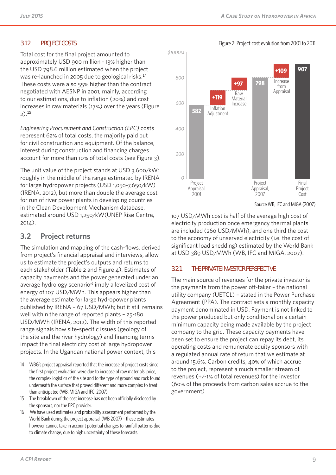#### **3.1.2 PROJECT COSTS**

Total cost for the final project amounted to approximately USD 900 million - 13% higher than the USD 798.6 million estimated when the project was re-launched in 2005 due to geological risks.<sup>14</sup> These costs were also 55% higher than the contract negotiated with AESNP in 2001, mainly, according to our estimations, due to inflation (20%) and cost increases in raw materials (17%) over the years (Figure 2).<sup>15</sup>

*Engineering Procurement and Construction (EPC)* costs represent 62% of total costs, the majority paid out for civil construction and equipment. Of the balance, interest during construction and financing charges account for more than 10% of total costs (see Figure 3).

The unit value of the project stands at USD 3,600/kW; roughly in the middle of the range estimated by IRENA for large hydropower projects (USD 1,050-7,650/kW) (IRENA, 2012), but more than double the average cost for run of river power plants in developing countries in the Clean Development Mechanism database, estimated around USD 1,250/kW(UNEP Risø Centre, 2014).

### **3.2 Project returns**

The simulation and mapping of the cash-flows, derived from project's financial appraisal and interviews, allow us to estimate the project's outputs and returns to each stakeholder (Table 2 and Figure 4). Estimates of capacity payments and the power generated under an average hydrology scenario<sup>16</sup> imply a levelized cost of energy of 107 USD/MWh. This appears higher than the average estimate for large hydropower plants published by IRENA – 67 USD/MWh; but it still remains well within the range of reported plants – 25-180 USD/MWh (IRENA, 2012). The width of this reported range signals how site-specific issues (geology of the site and the river hydrology) and financing terms impact the final electricity cost of large hydropower projects. In the Ugandan national power context, this



107 USD/MWh cost is half of the average high cost of electricity production once emergency thermal plants are included (260 USD/MWh), and one third the cost to the economy of unserved electricity (i.e. the cost of significant load shedding) estimated by the World Bank at USD 389 USD/MWh (WB, IFC and MIGA, 2007).

#### **3.2.1 THE PRIVATE INVESTOR PERSPECTIVE**

The main source of revenues for the private investor is the payments from the power off-taker – the national utility company (UETCL) – stated in the Power Purchase Agreement (PPA). The contract sets a monthly capacity payment denominated in USD. Payment is not linked to the power produced but only conditional on a certain minimum capacity being made available by the project company to the grid. These capacity payments have been set to ensure the project can repay its debt, its operating costs and remunerate equity sponsors with a regulated annual rate of return that we estimate at around 15.6%. Carbon credits, 40% of which accrue to the project, represent a much smaller stream of revenues (+/-1% of total revenues) for the investor (60% of the proceeds from carbon sales accrue to the government).

#### Figure 2: Project cost evolution from 2001 to 2011

<sup>14</sup> WBG's project appraisal reported that the increase of project costs since the first project evaluation were due to increase of raw materials' price, the complex logistics of the site and to the type of ground and rock found underneath the surface that proved different and more complex to treat than anticipated (WB, MIGA and IFC, 2007).

<sup>15</sup> The breakdown of the cost increase has not been officially disclosed by the sponsors, nor the EPC provider.

<sup>16</sup> We have used estimates and probability assessment performed by the World Bank during the project appraisal (WB 2007) – these estimates however cannot take in account potential changes to rainfall patterns due to climate change, due to high uncertainty of these forecasts.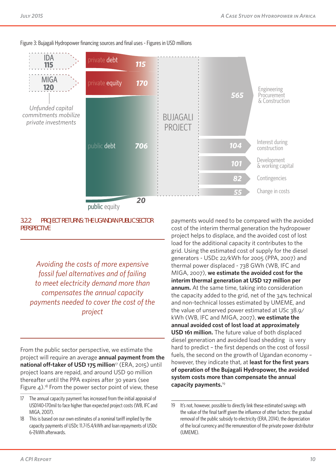

Figure 3: Bujagali Hydropower financing sources and final uses - Figures in USD millions

public equity

#### **3.2.2 PROJECT RETURNS: THE UGANDAN PUBLIC SECTOR PERSPECTIVE**

*Avoiding the costs of more expensive fossil fuel alternatives and of failing to meet electricity demand more than compensates the annual capacity payments needed to cover the cost of the project*

From the public sector perspective, we estimate the project will require an average **annual payment from the**  national off-taker of USD 175 million<sup>17</sup> (ERA, 2015) until project loans are repaid, and around USD 90 million thereafter until the PPA expires after 30 years (see Figure  $4$ ).<sup>18</sup> From the power sector point of view, these

payments would need to be compared with the avoided cost of the interim thermal generation the hydropower project helps to displace, and the avoided cost of lost load for the additional capacity it contributes to the grid. Using the estimated cost of supply for the diesel generators - USDc 22/kWh for 2005 (PPA, 2007) and thermal power displaced - 738 GWh (WB, IFC and MIGA, 2007), **we estimate the avoided cost for the interim thermal generation at USD 127 million per annum.** At the same time, taking into consideration the capacity added to the grid, net of the 34% technical and non-technical losses estimated by UMEME, and the value of unserved power estimated at USc 38.9/ kWh (WB, IFC and MIGA, 2007), **we estimate the annual avoided cost of lost load at approximately USD 161 million.** The future value of both displaced diesel generation and avoided load shedding is very hard to predict - the first depends on the cost of fossil fuels, the second on the growth of Ugandan economy – however, they indicate that, at least for the first years **of operation of the Bujagali Hydropower, the avoided system costs more than compensate the annual capacity payments.**<sup>19</sup>

<sup>17</sup> The annual capacity payment has increased from the initial appraisal of USD140-170mil to face higher than expected project costs (WB, IFC and MIGA, 2007).

<sup>18</sup> This is based on our own estimates of a nominal tariff implied by the capacity payments of USDc 11.7-15.4/kWh and loan repayments of USDc 6-7/kWh afterwards.

<sup>19</sup> It's not, however, possible to directly link these estimated savings with the value of the final tariff given the influence of other factors: the gradual removal of the public subsidy to electricity (ERA, 2014), the depreciation of the local currency and the remuneration of the private power distributor (UMEME).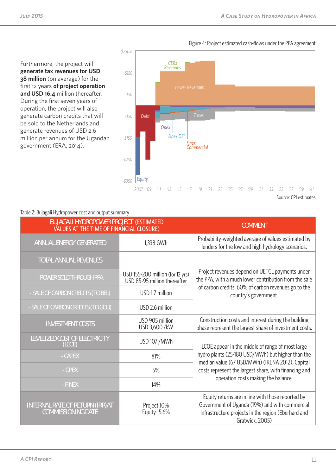Furthermore, the project will **generate tax revenues for USD 38 million** (on average) for the first 12 years of project operation **and USD 16.4** million thereafter. During the first seven years of operation, the project will also generate carbon credits that will be sold to the Netherlands and generate revenues of USD 2.6 million per annum for the Ugandan government (ERA, 2014).



#### Table 2: Bujagali Hydropower cost and output summary

| <b>BUJAGALI HYDROPOWER PROJECT (ESTIMATED)</b><br>VALUES AT THE TIME OF FINANCIAL CLOSURE) |                                                                  | <b>COMMENT</b>                                                                                                                                                                |
|--------------------------------------------------------------------------------------------|------------------------------------------------------------------|-------------------------------------------------------------------------------------------------------------------------------------------------------------------------------|
| <b>ANNUAL ENERGY GENERATED</b>                                                             | 1,338 GWh                                                        | Probability-weighted average of values estimated by<br>lenders for the low and high hydrology scenarios.                                                                      |
| <b>TOTAL ANNUAL REVENUES</b>                                                               |                                                                  |                                                                                                                                                                               |
| - POWER SOLD THROUGH PPA                                                                   | USD 155-200 million (for 12 yrs)<br>USD 85-95 million thereafter | Project revenues depend on UETCL payments under<br>the PPA, with a much lower contribution from the sale                                                                      |
| - SALE OF CARBON CREDITS (TO BEL)                                                          | USD 1.7 million                                                  | of carbon credits. 60% of carbon revenues go to the<br>country's government.                                                                                                  |
| - SALE OF CARBON CREDITS (TO GOU)                                                          | USD 2.6 million                                                  |                                                                                                                                                                               |
| <b>INVESTMENT COSTS</b>                                                                    | USD 905 million<br>USD 3,600 /kW                                 | Construction costs and interest during the building<br>phase represent the largest share of investment costs.                                                                 |
| LEVELIZED COST OF ELECTRICITY<br>(LCOE)                                                    | <b>USD 107 /MWh</b>                                              | LCOE appear in the middle of range of most large                                                                                                                              |
| <b>CAPEX</b>                                                                               | 81%                                                              | hydro plants (25-180 USD/MWh) but higher than the<br>median value (67 USD/MWh) (IRENA 2012). Capital                                                                          |
| - OPEX                                                                                     | 5%                                                               | costs represent the largest share, with financing and                                                                                                                         |
| - FINEX                                                                                    | 14%                                                              | operation costs making the balance.                                                                                                                                           |
| <b>INTERNAL RATE OF RETURN (IRR) AT</b><br><b>COMMISSIONING DATE</b>                       | Project 10%<br><b>Equity 15.6%</b>                               | Equity returns are in line with those reported by<br>Government of Uganda (19%) and with commercial<br>infrastructure projects in the region (Eberhard and<br>Gratwick, 2005) |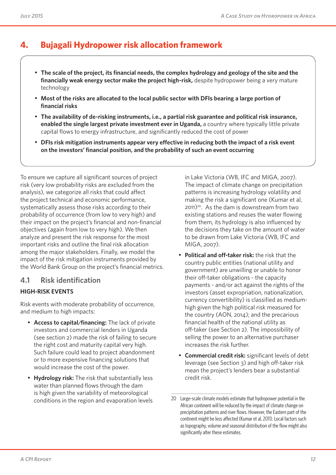## **4. Bujagali Hydropower risk allocation framework**

- **The scale of the project, its financial needs, the complex hydrology and geology of the site and the financially weak energy sector make the project high-risk,** despite hydropower being a very mature technology
- **Most of the risks are allocated to the local public sector with DFIs bearing a large portion of financial risks**
- **The availability of de-risking instruments, i.e., a partial risk guarantee and political risk insurance, enabled the single largest private investment ever in Uganda,** a country where typically little private capital flows to energy infrastructure, and significantly reduced the cost of power
- **DFIs risk mitigation instruments appear very effective in reducing both the impact of a risk event on the investors' financial position, and the probability of such an event occurring**

To ensure we capture all significant sources of project risk (very low probability risks are excluded from the analysis), we categorize all risks that could affect the project technical and economic performance, systematically assess those risks according to their probability of occurrence (from low to very high) and their impact on the project's financial and non-financial objectives (again from low to very high). We then analyze and present the risk response for the most important risks and outline the final risk allocation among the major stakeholders. Finally, we model the impact of the risk mitigation instruments provided by the World Bank Group on the project's financial metrics.

### **4.1 Risk identification**

### **HIGH-RISK EVENTS**

Risk events with moderate probability of occurrence, and medium to high impacts:

- **Access to capital/financing:** The lack of private investors and commercial lenders in Uganda (see section 2) made the risk of failing to secure the right cost and maturity capital very high. Such failure could lead to project abandonment or to more expensive financing solutions that would increase the cost of the power.
- **Hydrology risk:** The risk that substantially less water than planned flows through the dam is high given the variability of meteorological conditions in the region and evaporation levels

in Lake Victoria (WB, IFC and MIGA, 2007). The impact of climate change on precipitation patterns is increasing hydrology volatility and making the risk a significant one (Kumar et al,  $2011$ <sup>20</sup>. As the dam is downstream from two existing stations and reuses the water flowing from them, its hydrology is also influenced by the decisions they take on the amount of water to be drawn from Lake Victoria (WB, IFC and MIGA, 2007).

- **Political and off-taker risk:** the risk that the country public entities (national utility and government) are unwilling or unable to honor their off-taker obligations - the capacity payments - and/or act against the rights of the investors (asset expropriation, nationalization, currency convertibility) is classified as mediumhigh given the high political risk measured for the country (AON, 2014); and the precarious financial health of the national utility as off-taker (see Section 2). The impossibility of selling the power to an alternative purchaser increases the risk further.
- **Commercial credit risk:** significant levels of debt leverage (see Section 3) and high off-taker risk mean the project's lenders bear a substantial credit risk.

<sup>20</sup> Large-scale climate models estimate that hydropower potential in the African continent will be reduced by the impact of climate change on precipitation patterns and river flows. However, the Eastern part of the continent might be less affected (Kumar et al, 2011). Local factors such as topography, volume and seasonal distribution of the flow might also significantly alter these estimates.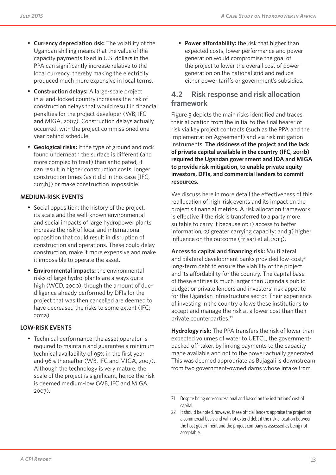- **Currency depreciation risk:** The volatility of the Ugandan shilling means that the value of the capacity payments fixed in U.S. dollars in the PPA can significantly increase relative to the local currency, thereby making the electricity produced much more expensive in local terms.
- **Construction delays:** A large-scale project in a land-locked country increases the risk of construction delays that would result in financial penalties for the project developer (WB, IFC and MIGA, 2007). Construction delays actually occurred, with the project commissioned one year behind schedule.
- **Geological risks:** If the type of ground and rock found underneath the surface is different (and more complex to treat) than anticipated, it can result in higher construction costs, longer construction times (as it did in this case [IFC, 2013b]) or make construction impossible.

### **MEDIUM-RISK EVENTS**

- Social opposition: the history of the project, its scale and the well-known environmental and social impacts of large hydropower plants increase the risk of local and international opposition that could result in disruption of construction and operations. These could delay construction, make it more expensive and make it impossible to operate the asset.
- **Environmental impacts:** the environmental risks of large hydro-plants are always quite high (WCD, 2000), though the amount of duediligence already performed by DFIs for the project that was then cancelled are deemed to have decreased the risks to some extent (IFC; 2011a).

### **LOW-RISK EVENTS**

• Technical performance: the asset operator is required to maintain and guarantee a minimum technical availability of 95% in the first year and 96% thereafter (WB, IFC and MIGA, 2007). Although the technology is very mature, the scale of the project is significant, hence the risk is deemed medium-low (WB, IFC and MIGA, 2007).

**Power affordability:** the risk that higher than expected costs, lower performance and power generation would compromise the goal of the project to lower the overall cost of power generation on the national grid and reduce either power tariffs or government's subsidies.

## **4.2 Risk response and risk allocation framework**

Figure 5 depicts the main risks identified and traces their allocation from the initial to the final bearer of risk via key project contracts (such as the PPA and the Implementation Agreement) and via risk mitigation instruments. **The riskiness of the project and the lack of private capital available in the country (IFC, 2011b) required the Ugandan government and IDA and MIGA to provide risk mitigation, to enable private equity investors, DFIs, and commercial lenders to commit resources.**

We discuss here in more detail the effectiveness of this reallocation of high-risk events and its impact on the project's financial metrics. A risk allocation framework is effective if the risk is transferred to a party more suitable to carry it because of: 1) access to better information; 2) greater carrying capacity; and 3) higher influence on the outcome (Frisari et al. 2013).

**Access to capital and financing risk:** Multilateral and bilateral development banks provided low-cost,<sup>21</sup> long-term debt to ensure the viability of the project and its affordability for the country. The capital base of these entities is much larger than Uganda's public budget or private lenders and investors' risk appetite for the Ugandan infrastructure sector. Their experience of investing in the country allows these institutions to accept and manage the risk at a lower cost than their private counterparties.<sup>22</sup>

**Hydrology risk:** The PPA transfers the risk of lower than expected volumes of water to UETCL, the governmentbacked off-taker, by linking payments to the capacity made available and not to the power actually generated. This was deemed appropriate as Bujagali is downstream from two government-owned dams whose intake from

<sup>21</sup> Despite being non-concessional and based on the institutions' cost of capital.

<sup>22</sup> It should be noted, however, these official lenders appraise the project on a commercial basis and will not extend debt if the risk allocation between the host government and the project company is assessed as being not acceptable.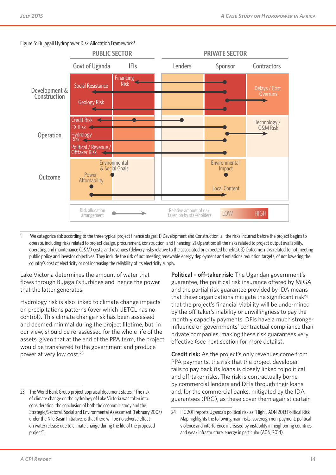

#### Figure 5: Bujagali Hydropower Risk Allocation Framework**<sup>1</sup>**

1 We categorize risk according to the three typical project finance stages: 1) Development and Construction: all the risks incurred before the project begins to operate, including risks related to project design, procurement, construction, and financing. 2) Operation: all the risks related to project output availability, operating and maintenance (O&M) costs, and revenues (delivery risks relative to the associated or expected benefits). 3) Outcome: risks related to not meeting public policy and investor objectives. They include the risk of not meeting renewable energy deployment and emissions reduction targets, of not lowering the country's cost of electricity or not increasing the reliability of its electricity supply.

Lake Victoria determines the amount of water that flows through Bujagali's turbines and hence the power that the latter generates.

Hydrology risk is also linked to climate change impacts on precipitations patterns (over which UETCL has no control). This climate change risk has been assessed and deemed minimal during the project lifetime, but, in our view, should be re-assessed for the whole life of the assets, given that at the end of the PPA term, the project would be transferred to the government and produce power at very low cost.<sup>23</sup>

**Political – off-taker risk:** The Ugandan government's guarantee, the political risk insurance offered by MIGA and the partial risk guarantee provided by IDA means that these organizations mitigate the significant risk<sup>24</sup> that the project's financial viability will be undermined by the off-taker's inability or unwillingness to pay the monthly capacity payments. DFIs have a much stronger influence on governments' contractual compliance than private companies, making these risk guarantees very effective (see next section for more details).

**Credit risk:** As the project's only revenues come from PPA payments, the risk that the project developer fails to pay back its loans is closely linked to political and off-taker risks. The risk is contractually borne by commercial lenders and DFIs through their loans and, for the commercial banks, mitigated by the IDA guarantees (PRG), as these cover them against certain

<sup>23</sup> The World Bank Group project appraisal document states, "The risk of climate change on the hydrology of Lake Victoria was taken into consideration: the conclusion of both the economic study and the Strategic/Sectoral, Social and Environmental Assessment (February 2007) under the Nile Basin Initiative, is that there will be no adverse effect on water release due to climate change during the life of the proposed project".

<sup>24</sup> IFC 2011 reports Uganda's political risk as "High". AON 2013 Political Risk Map highlights the following main risks: sovereign non-payment, political violence and interference increased by instability in neighboring countries, and weak infrastructure, energy in particular (AON, 2014).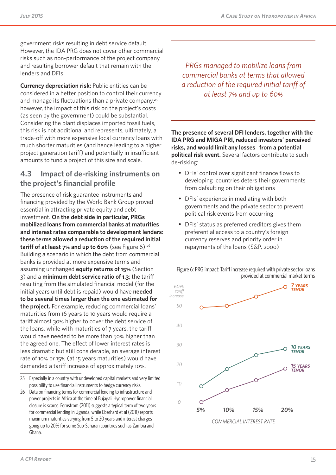government risks resulting in debt service default. However, the IDA PRG does not cover other commercial risks such as non-performance of the project company and resulting borrower default that remain with the lenders and DFIs.

**Currency depreciation risk:** Public entities can be considered in a better position to control their currency and manage its fluctuations than a private company, $25$ however, the impact of this risk on the project's costs (as seen by the government) could be substantial. Considering the plant displaces imported fossil fuels, this risk is not additional and represents, ultimately, a trade-off with more expensive local currency loans with much shorter maturities (and hence leading to a higher project generation tariff) and potentially in insufficient amounts to fund a project of this size and scale.

## **4.3 Impact of de-risking instruments on the project's financial profile**

The presence of risk guarantee instruments and financing provided by the World Bank Group proved essential in attracting private equity and debt investment. **On the debt side in particular, PRGs mobilized loans from commercial banks at maturities and interest rates comparable to development lenders: these terms allowed a reduction of the required initial tariff of at least 7% and up to 60%** (see Figure 6).<sup>26</sup> Building a scenario in which the debt from commercial banks is provided at more expensive terms and assuming unchanged **equity returns of 15%** (Section 3) and a **minimum debt service ratio of 1.3**; the tariff resulting from the simulated financial model (for the initial years until debt is repaid) would have **needed to be several times larger than the one estimated for the project.** For example, reducing commercial loans' maturities from 16 years to 10 years would require a tariff almost 30% higher to cover the debt service of the loans, while with maturities of 7 years, the tariff would have needed to be more than 50% higher than the agreed one. The effect of lower interest rates is less dramatic but still considerable, an average interest rate of 10% or 15% (at 15 years maturities) would have demanded a tariff increase of approximately 10%.

25 Especially in a country with undeveloped capital markets and very limited possibility to use financial instruments to hedge currency risks.

*PRGs managed to mobilize loans from commercial banks at terms that allowed a reduction of the required initial tariff of at least 7% and up to 60%* 

**The presence of several DFI lenders, together with the IDA PRG and MIGA PRI, reduced investors' perceived risks, and would limit any losses from a potential political risk event.** Several factors contribute to such de-risking:

- DFIs' control over significant finance flows to developing countries deters their governments from defaulting on their obligations
- DFIs' experience in mediating with both governments and the private sector to prevent political risk events from occurring
- DFIs' status as preferred creditors gives them preferential access to a country's foreign currency reserves and priority order in repayments of the loans (S&P, 2000)





<sup>26</sup> Data on financing terms for commercial lending to infrastructure and power projects in Africa at the time of Bujagali Hydropower financial closure is scarce. Fernstrom (2011) suggests a typical term of two years for commercial lending in Uganda, while Eberhard et al (2011) reports maximum maturities varying from 5 to 20 years and interest charges going up to 20% for some Sub-Saharan countries such as Zambia and Ghana.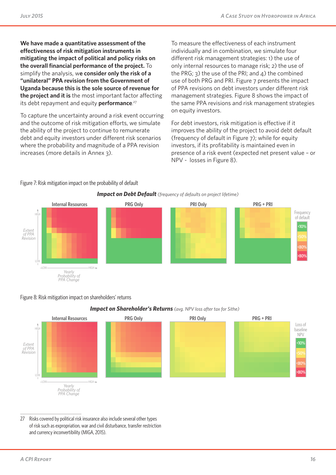**We have made a quantitative assessment of the eff ectiveness of risk mitigation instruments in mitigating the impact of political and policy risks on**  the overall financial performance of the project. To simplify the analysis, w**e consider only the risk of a "unilateral" PPA revision from the Government of Uganda because this is the sole source of revenue for the project and it is** the most important factor affecting its debt repayment and equity **performance**. 27

To capture the uncertainty around a risk event occurring and the outcome of risk mitigation efforts, we simulate the ability of the project to continue to remunerate debt and equity investors under different risk scenarios where the probability and magnitude of a PPA revision increases (more details in Annex 3).

To measure the effectiveness of each instrument individually and in combination, we simulate four different risk management strategies: 1) the use of only internal resources to manage risk; 2) the use of the PRG; 3) the use of the PRI; and  $4$ ) the combined use of both PRG and PRI. Figure 7 presents the impact of PPA revisions on debt investors under different risk management strategies. Figure 8 shows the impact of the same PPA revisions and risk management strategies on equity investors.

For debt investors, risk mitigation is effective if it improves the ability of the project to avoid debt default (frequency of default in Figure 7); while for equity investors, if its profitability is maintained even in presence of a risk event (expected net present value – or NPV - losses in Figure 8).



#### Figure 7: Risk mitigation impact on the probability of default

#### Figure 8: Risk mitigation impact on shareholders' returns



#### *Impact on Shareholder's Returns (avg. NPV loss after tax for Sithe)*

27 Risks covered by political risk insurance also include several other types of risk such asexpropriation, war and civil disturbance, transfer restriction and currency inconvertibility (MIGA, 2015).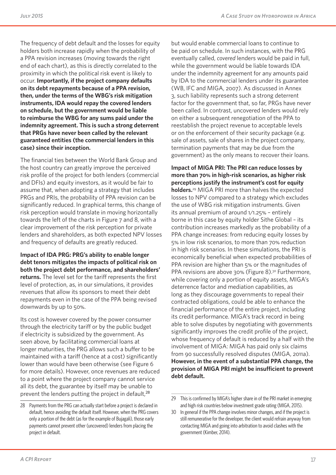The frequency of debt default and the losses for equity holders both increase rapidly when the probability of a PPA revision increases (moving towards the right end of each chart), as this is directly correlated to the proximity in which the political risk event is likely to occur. **Importantly, if the project company defaults on its debt repayments because of a PPA revision, then, under the terms of the WBG's risk mitigation instruments, IDA would repay the covered lenders on schedule, but the government would be liable to reimburse the WBG for any sums paid under the indemnity agreement. This is such a strong deterrent that PRGs have never been called by the relevant guaranteed entities (the commercial lenders in this case) since their inception.**

The financial ties between the World Bank Group and the host country can greatly improve the perceived risk profile of the project for both lenders (commercial and DFIs) and equity investors, as it would be fair to assume that, when adopting a strategy that includes PRGs and PRIs, the probability of PPA revision can be significantly reduced. In graphical terms, this change of risk perception would translate in moving horizontally towards the left of the charts in Figure 7 and 8, with a clear improvement of the risk perception for private lenders and shareholders, as both expected NPV losses and frequency of defaults are greatly reduced.

**Impact of IDA PRG: PRG's ability to enable longer debt tenors mitigates the impacts of political risk on both the project debt performance, and shareholders' returns.** The level set for the tariff represents the first level of protection, as, in our simulations, it provides revenues that allow its sponsors to meet their debt repayments even in the case of the PPA being revised downwards by up to 50%.

Its cost is however covered by the power consumer through the electricity tariff or by the public budget if electricity is subsidized by the government. As seen above, by facilitating commercial loans at longer maturities, the PRG allows such a buffer to be maintained with a tariff (hence at a cost) significantly lower than would have been otherwise (see Figure 6 for more details). However, once revenues are reduced to a point where the project company cannot service all its debt, the guarantee by itself may be unable to prevent the lenders putting the project in default,<sup>28</sup>

but would enable commercial loans to continue to be paid on schedule. In such instances, with the PRG eventually called, *covered* lenders would be paid in full, while the government would be liable towards IDA under the indemnity agreement for any amounts paid by IDA to the commercial lenders under its guarantee (WB, IFC and MIGA, 2007). As discussed in Annex 3, such liability represents such a strong deterrent factor for the government that, so far, PRGs have never been called. In contrast, uncovered lenders would rely on either a subsequent renegotiation of the PPA to reestablish the project revenue to acceptable levels or on the enforcement of their security package (e.g. sale of assets, sale of shares in the project company, termination payments that may be due from the government) as the only means to recover their loans.

**Impact of MIGA PRI: The PRI can reduce losses by more than 70% in high-risk scenarios, as higher risk perceptions justify the instrument's cost for equity holders.**29 MIGA PRI more than halves the expected losses to NPV compared to a strategy which excludes the use of WBG risk mitigation instruments. Given its annual premium of around 1/1.25% – entirely borne in this case by equity holder Sithe Global – its contribution increases markedly as the probability of a PPA change increases: from reducing equity losses by 5% in low risk scenarios, to more than 70% reduction in high risk scenarios. In these simulations, the PRI is economically beneficial when expected probabilities of PPA revision are higher than 5% or the magnitudes of PPA revisions are above 30% (Figure 8).<sup>30</sup> Furthermore, while covering only a portion of equity assets, MIGA's deterrence factor and mediation capabilities, as long as they discourage governments to repeal their contracted obligations, could be able to enhance the financial performance of the entire project, including its credit performance. MIGA's track record in being able to solve disputes by negotiating with governments significantly improves the credit profile of the project, whose frequency of default is reduced by a half with the involvement of MIGA: MIGA has paid only six claims from 90 successfully resolved disputes (MIGA, 2011a). **However, in the event of a substantial PPA change, the provision of MIGA PRI might be insufficient to prevent debt default.** 

<sup>28</sup> Payments from the PRG can actually start before a project is declared in default, hence avoiding the default itself. However, when the PRG covers only a portion of the debt (as for the example of Bujagali), those early payments cannot prevent other (uncovered) lenders from placing the project in default.

<sup>29</sup> This is confirmed by MIGA's higher share in of the PRI market in emerging and high risk countries below investment grade rating (MIGA, 2015).

<sup>30</sup> In general if the PPA change involves minor changes, and if the project is still remunerative for the developer, the client would refrain anyway from contacting MIGA and going into arbitration to avoid clashes with the government (Kimber, 2014).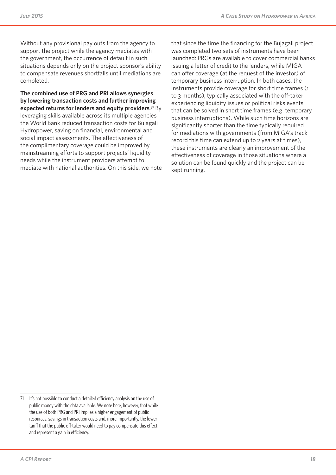Without any provisional pay outs from the agency to support the project while the agency mediates with the government, the occurrence of default in such situations depends only on the project sponsor's ability to compensate revenues shortfalls until mediations are completed.

**The combined use of PRG and PRI allows synergies by lowering transaction costs and further improving expected returns for lenders and equity providers**. 31 By leveraging skills available across its multiple agencies the World Bank reduced transaction costs for Bujagali Hydropower, saving on financial, environmental and social impact assessments. The effectiveness of the complimentary coverage could be improved by mainstreaming efforts to support projects' liquidity needs while the instrument providers attempt to mediate with national authorities. On this side, we note that since the time the financing for the Bujagali project was completed two sets of instruments have been launched: PRGs are available to cover commercial banks issuing a letter of credit to the lenders, while MIGA can offer coverage (at the request of the investor) of temporary business interruption. In both cases, the instruments provide coverage for short time frames (1 to 3 months), typically associated with the off-taker experiencing liquidity issues or political risks events that can be solved in short time frames (e.g. temporary business interruptions). While such time horizons are significantly shorter than the time typically required for mediations with governments (from MIGA's track record this time can extend up to 2 years at times), these instruments are clearly an improvement of the effectiveness of coverage in those situations where a solution can be found quickly and the project can be kept running.

<sup>31</sup> It's not possible to conduct a detailed efficiency analysis on the use of public money with the data available. We note here, however, that while the use of both PRG and PRI implies a higher engagement of public resources, savings in transaction costs and, more importantly, the lower tariff that the public off-taker would need to pay compensate this effect and represent a gain in efficiency.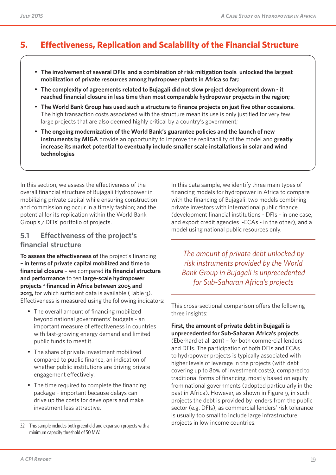## **5. Effectiveness, Replication and Scalability of the Financial Structure**

- **The involvement of several DFIs and a combination of risk mitigation tools unlocked the largest mobilization of private resources among hydropower plants in Africa so far;**
- **The complexity of agreements related to Bujagali did not slow project development down it reached financial closure in less time than most comparable hydropower projects in the region;**
- **The World Bank Group has used such a structure to finance projects on just five other occasions.**  The high transaction costs associated with the structure mean its use is only justified for very few large projects that are also deemed highly critical by a country's government;
- **The ongoing modernization of the World Bank's guarantee policies and the launch of new instruments by MIGA** provide an opportunity to improve the replicability of the model and **greatly increase its market potential to eventually include smaller scale installations in solar and wind technologies**

In this section, we assess the effectiveness of the overall financial structure of Bujagali Hydropower in mobilizing private capital while ensuring construction and commissioning occur in a timely fashion; and the potential for its replication within the World Bank Group's / DFIs' portfolio of projects.

### **5.1 Effectiveness of the project's financial structure**

**To assess the effectiveness of** the project's financing **– in terms of private capital mobilized and time to financial closure –** we compared **its financial structure and performance** to ten **large-scale hydropower projects**<sup>32</sup> **financed in Africa between 2005 and 2013,** for which sufficient data is available (Table 3). Effectiveness is measured using the following indicators:

- The overall amount of financing mobilized beyond national governments' budgets - an important measure of effectiveness in countries with fast-growing energy demand and limited public funds to meet it.
- The share of private investment mobilized compared to public finance, an indication of whether public institutions are driving private engagement effectively.
- The time required to complete the financing package – important because delays can drive up the costs for developers and make investment less attractive.

In this data sample, we identify three main types of financing models for hydropower in Africa to compare with the financing of Bujagali: two models combining private investors with international public finance (development financial institutions - DFIs - in one case, and export credit agencies -ECAs - in the other), and a model using national public resources only.

*The amount of private debt unlocked by risk instruments provided by the World Bank Group in Bujagali is unprecedented for Sub-Saharan Africa's projects*

This cross-sectional comparison offers the following three insights:

#### **First, the amount of private debt in Bujagali is unprecedented for Sub-Saharan Africa's projects**

(Eberhard et al. 2011) – for both commercial lenders and DFIs. The participation of both DFIs and ECAs to hydropower projects is typically associated with higher levels of leverage in the projects (with debt covering up to 80% of investment costs), compared to traditional forms of financing, mostly based on equity from national governments (adopted particularly in the past in Africa). However, as shown in Figure 9, in such projects the debt is provided by lenders from the public sector (e.g. DFIs), as commercial lenders' risk tolerance is usually too small to include large infrastructure projects in low income countries.

<sup>32</sup> This sample includes both greenfield and expansion projects with a minimum capacity threshold of 50 MW.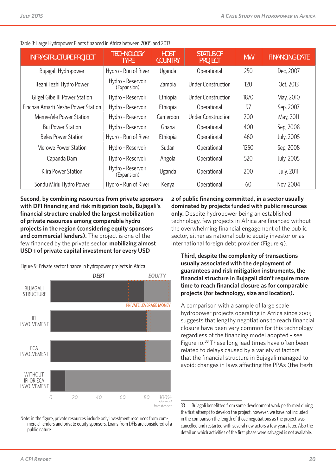| <b>INFRASTRUCTURE PROJECT</b>      | <b>TECHNOLOGY</b><br><b>TYPE</b> | <b>HOST</b><br><b>COUNTRY</b> | <b>STATUS OF</b><br><b>PROJECT</b> | <b>MW</b> | <b>FINANCING DATE</b> |  |  |
|------------------------------------|----------------------------------|-------------------------------|------------------------------------|-----------|-----------------------|--|--|
| Bujagali Hydropower                | Hydro - Run of River             | Uganda                        | Operational                        | 250       | Dec, 2007             |  |  |
| Itezhi Tezhi Hydro Power           | Hydro - Reservoir<br>(Expansion) | Zambia                        | <b>Under Construction</b>          | 120       | Oct, 2013             |  |  |
| Gilgel Gibe III Power Station      | Hydro - Reservoir                | Ethiopia                      | <b>Under Construction</b>          | 1870      | May, 2010             |  |  |
| Finchaa Amarti Neshe Power Station | Hydro - Reservoir                | Ethiopia                      | Operational                        | 97        | Sep, 2007             |  |  |
| Memve'ele Power Station            | Hydro - Reservoir                | Cameroon                      | <b>Under Construction</b>          | 200       | May, 2011             |  |  |
| <b>Bui Power Station</b>           | Hydro - Reservoir                | Ghana                         | Operational                        | 400       | Sep, 2008             |  |  |
| <b>Beles Power Station</b>         | Hydro - Run of River             | Ethiopia                      | Operational                        | 460       | July, 2005            |  |  |
| Merowe Power Station               | Hydro - Reservoir                | Sudan                         | Operational                        | 1250      | Sep, 2008             |  |  |
| Capanda Dam                        | Hydro - Reservoir                | Angola                        | Operational                        | 520       | July, 2005            |  |  |
| Kiira Power Station                | Hydro - Reservoir<br>(Expansion) | Uganda                        | Operational                        | 200       | <b>July, 2011</b>     |  |  |
| Sondu Miriu Hydro Power            | Hydro - Run of River             | Kenya                         | Operational                        | 60        | Nov, 2004             |  |  |

Table 3: Large Hydropower Plants financed in Africa between 2005 and 2013

**Second, by combining resources from private sponsors with DFI financing and risk mitigation tools, Bujagali's financial structure enabled the largest mobilization of private resources among comparable hydro projects in the region (considering equity sponsors and commercial lenders).** The project is one of the few financed by the private sector, **mobilizing almost USD 1 of private capital investment for every USD** 

Figure 9: Private sector finance in hydropower projects in Africa



Note: in the figure, private resources include only investment resources from commercial lenders and private equity sponsors. Loans from DFIs are considered of a public nature.

**2 of public financing committed, in a sector usually dominated by projects funded with public resources only.** Despite hydropower being an established technology, few projects in Africa are financed without the overwhelming financial engagement of the public sector, either as national public equity investor or as international foreign debt provider (Figure 9).

**Third, despite the complexity of transactions usually associated with the deployment of guarantees and risk mitigation instruments, the financial structure in Bujagali didn't require more time to reach financial closure as for comparable projects (for technology, size and location).**

A comparison with a sample of large scale hydropower projects operating in Africa since 2005 suggests that lengthy negotiations to reach financial closure have been very common for this technology regardless of the financing model adopted - see Figure 10.<sup>33</sup> These long lead times have often been related to delays caused by a variety of factors that the financial structure in Bujagali managed to avoid: changes in laws affecting the PPAs (the Itezhi

<sup>33</sup> Bujagali benefitted from some development work performed during the first attempt to develop the project, however, we have not included in the comparison the length of those negotiations as the project was cancelled and restarted with several new actors a few years later. Also the detail on which activities of the first phase were salvaged is not available.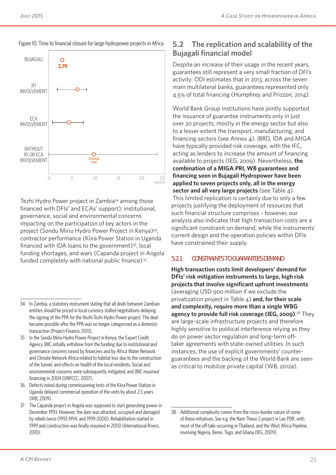

#### Figure 10: Time to financial closure for large hydropower projects in Africa

Tezhi Hydro Power project in Zambia<sup>34</sup> among those financed with DFIs' and ECAs' support); institutional, governance, social and environmental concerns impacting on the participation of key actors in the project (Sondu Miriu Hydro Power Project in Kenya)35; contractor performance (Kiira Power Station in Uganda financed with IDA loans to the government $)$ <sup>36</sup>, local funding shortages, and wars (Capanda project in Angola funded completely with national public finance) 37.

- 35 In the Sondu Miriu Hydro Power Project in Kenya, the Export Credit Agency JBIC initially withdrew from the funding due to institutional and governance concerns raised by financiers and by Africa Water Network and Climate Network Africa related to habitat loss due to the construction of the tunnel, and effects on health of the local residents. Social and environmental concerns were subsequently mitigated, and JBIC resumed financing in 2004 (UNFCCC, 2007).
- 36 Defects noted during commissioning tests of the Kiira Power Station in Uganda delayed commercial operation of the units by about 2.5 years (WB, 2009).
- 37 The Capanda project in Angola was supposed to start generating power in December 1993. However, the dam was attacked, occupied and damaged by rebels twice (1992-1994, and 1999-2000). Rehabilitation started in 1999 and construction was finally resumed in 2000 (International Rivers. 2010).

## **5.2 The replication and scalability of the Bujagali financial model**

Despite an increase of their usage in the recent years, guarantees still represent a very small fraction of DFI's activity: ODI estimates that in 2013, across the seven main multilateral banks, guarantees represented only 4.5% of total financing (Humphrey and Prizzon, 2014).

World Bank Group institutions have jointly supported the issuance of guarantee instruments only in just over 20 projects, mostly in the energy sector but also to a lesser extent the transport, manufacturing, and financing sectors (see Annex 4). IBRD, IDA and MIGA have typically provided risk coverage, with the IFC, acting as lenders to increase the amount of financing available to projects (IEG, 2009). Nevertheless, **the combination of a MIGA PRI, WB guarantees and financing seen in Bujagali Hydropower have been applied to seven projects only, all in the energy sector and all very large projects** (see Table 4). This limited replication is certainly due to only a few projects justifying the deployment of resources that such financial structure comprises – however, our analysis also indicates that high transaction costs are a significant constraint on demand, while the instruments' current design and the operation policies within DFIs have constrained their supply.

### **5.2.1 CONSTRAINTS TO GUARANTEES DEMAND**

**High transaction costs limit developers' demand for DFIs' risk mitigation instruments to large, high risk projects that involve significant upfront investments** (averaging USD 900 million if we exclude the privatization project in Table 4) **and, for their scale and complexity, require more than a single WBG agency to provide full risk coverage (IEG, 2009)**. 38 They are large-scale infrastructure projects and therefore highly sensitive to political interference relying as they do on power sector regulation and long-term offtaker agreements with state-owned utilities. In such instances, the use of explicit governments' counterguarantees and the backing of the World Bank are seen as critical to mobilize private capital (WB, 2012a).

<sup>34</sup> In Zambia, a statutory instrument stating that all deals between Zambian entities should be priced in local currency stalled negotiations delaying the signing of the PPA for the Itezhi Tezhi Hydro Power project. The deal became possible after the PPA was no longer categorized as a domestic transaction (Project Finance, 2013).

<sup>38</sup> Additional complexity comes from the cross-border nature of some of these initiatives. See e.g. the Nam Theun 2 project in Lao PDR, with most of the off-take occurring in Thailand, and the West Africa Pipeline, involving Nigeria, Benin, Togo, and Ghana (IEG, 2009).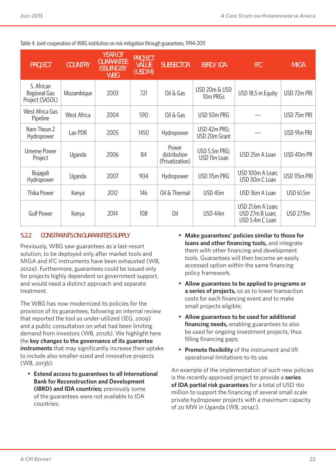Table 4: Joint cooperation of WBG institution on risk mitigation through guarantees, 1994-2011

| <b>PROJECT</b>                                | <b>COUNTRY</b> | <b>YEAR OF</b><br><b>GUARANTEE</b><br><b>ISSUING BY</b><br><b>WBG</b> | <b>PROJECT</b><br><b>VALUE</b><br>(USD M) | <b>SUBSECTOR</b>                         | <b>IBRD / IDA</b>             | <b>IFC</b>                                              | <b>MIGA</b>  |  |
|-----------------------------------------------|----------------|-----------------------------------------------------------------------|-------------------------------------------|------------------------------------------|-------------------------------|---------------------------------------------------------|--------------|--|
| S. African<br>Regional Gas<br>Project (SASOL) | Mozambique     | 2003                                                                  | 721                                       | Oil & Gas                                | USD 20m & USD<br>10m PRGs     | USD 18.5 m Equity                                       | USD 72m PRI  |  |
| West Africa Gas<br>Pipeline                   | West Africa    | 2004                                                                  | 590                                       | Oil & Gas                                | USD 50m PRG                   |                                                         | USD 75m PRI  |  |
| Nam Theun 2<br>Hydropower                     | Lao PDR        | 2005                                                                  | 1450                                      | Hydropower                               | USD 42m PRG;<br>USD 20m Grant |                                                         | USD 91m PRI  |  |
| <b>Umeme Power</b><br>Project                 | Uganda         | 2006                                                                  | 84                                        | Power<br>distribution<br>(Privatization) | USD 5.5m PRG;<br>USD 11m Loan | USD 25m A Loan                                          | USD 40m PR   |  |
| Bujagali<br>Hydropower                        | Uganda         | 2007                                                                  | 904                                       | Hydropower                               | USD 115m PRG                  | USD 100m A Loan;<br>USD 30m C Loan                      | USD 115m PRI |  |
| <b>Thika Power</b>                            | Kenya          | 2012                                                                  | 146                                       | Oil & Thermal                            | USD 45m                       | USD 36m A Loan                                          | USD 61.5m    |  |
| <b>Gulf Power</b>                             | Kenya          | 2014                                                                  | 108                                       | 0il                                      | USD 44m                       | USD 21.6m A Loan;<br>USD 27m B Loan;<br>USD 5.4m C Loan | USD 27.9m    |  |

#### **5.2.2 CONSTRAINTS ON GUARANTEES SUPPLY**

Previously, WBG saw guarantees as a last-resort solution, to be deployed only after market tools and MIGA and IFC instruments have been exhausted (WB, 2012a). Furthermore, guarantees could be issued only for projects highly dependent on government support, and would need a distinct approach and separate treatment.

The WBG has now modernized its policies for the provision of its guarantees, following an internal review that reported the tool as under-utilized (IEG, 2009) and a public consultation on what had been limiting demand from investors (WB, 2012b). We highlight here the **key changes to the governance of its guarantee instruments** that may significantly increase their uptake to include also smaller-sized and innovative projects (WB, 2013b):

• **Extend access to guarantees to all International Bank for Reconstruction and Development (IBRD) and IDA countries;** previously some of the guarantees were not available to IDA countries;

- **Make guarantees' policies similar to those for loans and other financing tools,** and integrate them with other financing and development tools. Guarantees will then become an easily accessed option within the same financing policy framework;
- **Allow guarantees to be applied to programs or a series of projects,** so as to lower transaction costs for each financing event and to make small projects eligible;
- **Allow guarantees to be used for additional financing needs,** enabling guarantees to also be used for ongoing investment projects, thus filling financing gaps;
- **Promote flexibility** of the instrument and lift operational limitations to its use.

An example of the implementation of such new policies is the recently approved project to provide a **series of IDA partial risk guarantees** for a total of USD 160 million to support the financing of several small scale private hydropower projects with a maximum capacity of 20 MW in Uganda (WB, 2014c).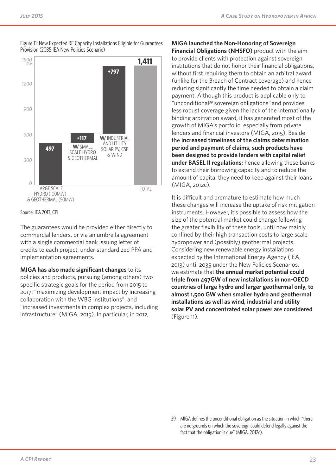



Source: IEA 2013, CPI

The guarantees would be provided either directly to commercial lenders, or via an umbrella agreement with a single commercial bank issuing letter of credits to each project, under standardized PPA and implementation agreements.

**MIGA has also made significant changes** to its policies and products, pursuing (among others) two specific strategic goals for the period from 2015 to 2017: "maximizing development impact by increasing collaboration with the WBG institutions", and "increased investments in complex projects, including infrastructure" (MIGA, 2015). In particular, in 2012,

**MIGA launched the Non-Honoring of Sovereign Financial Obligations (NHSFO)** product with the aim to provide clients with protection against sovereign institutions that do not honor their financial obligations, without first requiring them to obtain an arbitral award (unlike for the Breach of Contract coverage) and hence reducing significantly the time needed to obtain a claim payment. Although this product is applicable only to "unconditional39 sovereign obligations" and provides less robust coverage given the lack of the internationally binding arbitration award, it has generated most of the growth of MIGA's portfolio, especially from private lenders and financial investors (MIGA, 2015). Beside the **increased timeliness of the claims determination period and payment of claims, such products have been designed to provide lenders with capital relief under BASEL II regulations;** hence allowing these banks to extend their borrowing capacity and to reduce the amount of capital they need to keep against their loans (MIGA, 2012c).

It is difficult and premature to estimate how much these changes will increase the uptake of risk mitigation instruments. However, it's possible to assess how the size of the potential market could change following the greater flexibility of these tools, until now mainly confined by their high transaction costs to large scale hydropower and (possibly) geothermal projects. Considering new renewable energy installations expected by the International Energy Agency (IEA, 2013) until 2035 under the New Policies Scenarios, we estimate that **the annual market potential could triple from 497GW of new installations in non-OECD countries of large hydro and larger geothermal only, to almost 1,500 GW when smaller hydro and geothermal installations as well as wind, industrial and utility solar PV and concentrated solar power are considered** (Figure 11).

<sup>39</sup> MIGA defines the unconditional obligation as the situation in which "there are no grounds on which the sovereign could defend legally against the fact that the obligation is due" (MIGA, 2012c).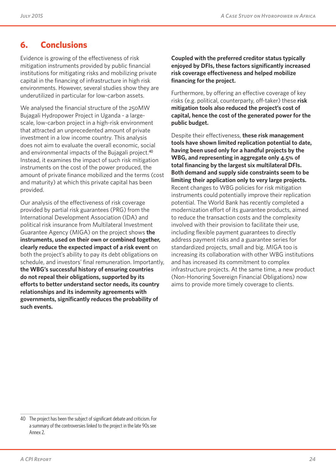## **6. Conclusions**

Evidence is growing of the effectiveness of risk mitigation instruments provided by public financial institutions for mitigating risks and mobilizing private capital in the financing of infrastructure in high risk environments. However, several studies show they are underutilized in particular for low-carbon assets.

We analysed the financial structure of the 250MW Bujagali Hydropower Project in Uganda - a largescale, low-carbon project in a high-risk environment that attracted an unprecedented amount of private investment in a low income country. This analysis does not aim to evaluate the overall economic, social and environmental impacts of the Bujagali project.<sup>40</sup> Instead, it examines the impact of such risk mitigation instruments on the cost of the power produced, the amount of private finance mobilized and the terms (cost and maturity) at which this private capital has been provided.

Our analysis of the effectiveness of risk coverage provided by partial risk guarantees (PRG) from the International Development Association (IDA) and political risk insurance from Multilateral Investment Guarantee Agency (MIGA) on the project shows **the instruments, used on their own or combined together, clearly reduce the expected impact of a risk event** on both the project's ability to pay its debt obligations on schedule, and investors' final remuneration. Importantly, **the WBG's successful history of ensuring countries do not repeal their obligations, supported by its efforts to better understand sector needs, its country relationships and its indemnity agreements with governments, significantly reduces the probability of such events.** 

**Coupled with the preferred creditor status typically enjoyed by DFIs, these factors significantly increased risk coverage effectiveness and helped mobilize financing for the project.**

Furthermore, by offering an effective coverage of key risks (e.g. political, counterparty, off-taker) these **risk mitigation tools also reduced the project's cost of capital, hence the cost of the generated power for the public budget.**

Despite their effectiveness, **these risk management tools have shown limited replication potential to date, having been used only for a handful projects by the WBG, and representing in aggregate only 4.5% of total financing by the largest six multilateral DFIs. Both demand and supply side constraints seem to be limiting their application only to very large projects.** Recent changes to WBG policies for risk mitigation instruments could potentially improve their replication potential. The World Bank has recently completed a modernization effort of its guarantee products, aimed to reduce the transaction costs and the complexity involved with their provision to facilitate their use, including flexible payment guarantees to directly address payment risks and a guarantee series for standardized projects, small and big. MIGA too is increasing its collaboration with other WBG institutions and has increased its commitment to complex infrastructure projects. At the same time, a new product (Non-Honoring Sovereign Financial Obligations) now aims to provide more timely coverage to clients.

<sup>40</sup> The project has been the subject of significant debate and criticism. For a summary of the controversies linked to the project in the late 90s see Annex 2.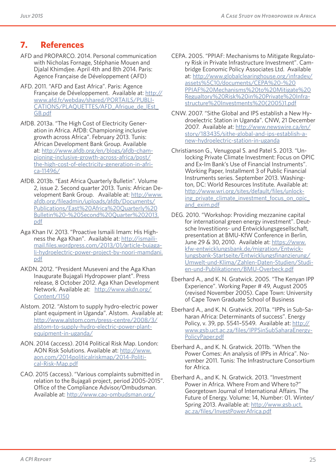## **7. References**

- AFD and PROPARCO. 2014. Personal communication with Nicholas Fornage, Stéphanie Mouen and Djalal Khimdjee. April 4th and 8th 2014. Paris: Agence Française de Développement (AFD)
- AFD. 2011. "AFD and East Africa". Paris: Agence Française de Développement. Available at: http:// www.afd.fr/webdav/shared/PORTAILS/PUBLI-CATIONS/PLAQUETTES/AFD\_Afrique\_de\_lEst GB.pdf
- AfDB. 2013a. "The High Cost of Electricity Generation in Africa. AfDB: Championing inclusive growth across Africa". February 2013. Tunis: African Development Bank Group. Available at: http://www.afdb.org/en/blogs/afdb-championing-inclusive-growth-across-africa/post/ the-high-cost-of-electricity-generation-in-africa-11496/
- AfDB. 2013b. "East Africa Quarterly Bulletin". Volume 2, issue 2. Second quarter 2013. Tunis: African Development Bank Group. Available at: http://www. afdb.org/fileadmin/uploads/afdb/Documents/ Publications/East%20Africa%20Quarterly%20 Bulletin%20-%20Second%20Quarter%202013. pdf
- Aga Khan IV. 2013. "Proactive Ismaili Imam: His Highness the Aga Khan". Available at: http://ismailimail.files.wordpress.com/2013/01/article-bujagali-hydroelectric-power-project-by-noori-mamdani. pdf
- AKDN. 2012. "President Museveni and the Aga Khan Inaugurate Bujagali Hydropower plant". Press release, 8 October 2012. Aga Khan Development Network. Available at: http://www.akdn.org/ Content/1150
- Alstom. 2012. "Alstom to supply hydro-electric power plant equipment in Uganda". Alstom. Available at: http://www.alstom.com/press-centre/2008/3/ alstom-to-supply-hydro-electric-power-plantequipment-in-uganda/
- AON. 2014 (access). 2014 Political Risk Map. London: AON Risk Solutions. Available at: http://www. aon.com/2014politicalriskmap/2014-Political-Risk-Map.pdf
- CAO. 2015 (access). "Various complaints submitted in relation to the Bujagali project, period 2005-2015". Office of the Compliance Advisor/Ombudsman. Available at: http://www.cao-ombudsman.org/
- CEPA. 2005. "PPIAF: Mechanisms to Mitigate Regulatory Risk in Private Infrastructure Investment". Cambridge Economic Policy Associates Ltd. Available at: http://www.globalclearinghouse.org/infradev/ assets%5C10/documents/CEPA%20-%20 PPIAF%20Mechanisms%20to%20Mitigate%20 Regualtory%20Risk%20in%20Private%20Infrastructure%20Investments%20(2005)1.pdf
- CNW. 2007. "Sithe Global and IPS establish a New Hydroelectric Station in Uganda". CNW, 21 December 2007. Available at: http://www.newswire.ca/en/ story/183435/sithe-global-and-ips-establish-anew-hydroelectric-station-in-uganda
- Christianson G., Venugopal S. and Patel S. 2013. "Unlocking Private Climate Investment: Focus on OPIC and Ex-Im Bank's Use of Financial Instruments". Working Paper, Installment 3 of Public Financial Instruments series. September 2013. Washington, DC: World Resources Institute. Available at: http://www.wri.org/sites/default/files/unlocking private climate investment focus on opic and\_exim.pdf
- DEG. 2010. "Workshop: Providing mezzanine capital for international green energy investment". Deutsche Investitions- und Entwicklungsgesellschaft, presentation at BMU-KfW Conference in Berlin, June 29 & 30, 2010. Available at: https://www. kfw-entwicklungsbank.de/migration/Entwicklungsbank-Startseite/Entwicklungsfinanzierung/ Umwelt-und-Klima/Zahlen-Daten-Studien/Studien-und-Publikationen/BMU-Overbeck.pdf
- Eberhard A., and K. N. Gratwick. 2005. "The Kenyan IPP Experience". Working Paper # 49, August 2005 (revised November 2005). Cape Town: University of Cape Town Graduate School of Business
- Eberhard A., and K. N. Gratwick. 2011a. "IPPs in Sub-Saharan Africa: Determinants of success". Energy Policy, v. 39, pp. 5541–5549. Available at: http:// www.gsb.uct.ac.za/files/IPPSinSubSaharaEnergy-PolicyPaper.pdf
- Eberhard A., and K. N. Gratwick. 2011b. "When the Power Comes: An analysis of IPPs in Africa". November 2011. Tunis: The Infrastructure Consortium for Africa.
- Eberhard A., and K. N. Gratwick. 2013. "Investment Power in Africa. Where From and Where to?" Georgetown Journal of International Affairs. The Future of Energy. Volume: 14, Number: 01. Winter/ Spring 2013. Available at: http://www.gsb.uct. ac.za/files/InvestPowerAfrica.pdf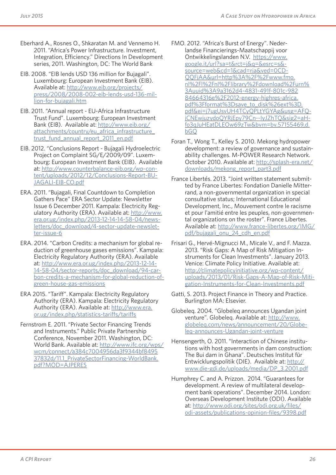- Eberhard A., Rosnes O., Shkaratan M. and Vennemo H. 2011. "Africa's Power Infrastructure. Investment, Integration, Efficiency." Directions In Development series, 2011. Washington, DC: The World Bank
- EIB. 2008. "EIB lends USD 136 million for Bujagali". Luxembourg: European Investment Bank (EIB). Available at: http://www.eib.org/projects/ press/2008/2008-002-eib-lends-usd-136-million-for-bujagali.htm
- EIB. 2011. "Annual report EU-Africa Infrastructure Trust Fund". Luxembourg: European Investment Bank (EIB). Available at: http://www.eib.org/ attachments/country/eu\_africa\_infrastructure\_ trust\_fund\_annual\_report\_2011\_en.pdf
- EIB. 2012. "Conclusions Report Bujagali Hydroelectric Project on Complaint SG/E/2009/09". Luxembourg: European Investment Bank (EIB). Available at: http://www.counterbalance-eib.org/wp-content/uploads/2012/12/Conclusions-Report-BU-JAGALI-EIB-CO.pdf
- ERA. 2011. "Bujagali, Final Countdown to Completion Gathers Pace" ERA Sector Update: Newsletter Issue 6 December 2011. Kampala: Electricity Regulatory Authority (ERA). Available at: http://www. era.or.ug/index.php/2013-12-14-14-58-04/newsletters/doc\_download/4-sector-update-newsletter-issue-6
- ERA. 2014. "Carbon Credits: a mechanism for global reduction of greenhouse gases emissions". Kampala: Electricity Regulatory Authority (ERA). Available at: http://www.era.or.ug/index.php/2013-12-14- 14-58-04/sector-reports/doc\_download/94-carbon-credits-a-mechanism-for-global-reduction-ofgreen-house-gas-emissions
- ERA 2015. "Tariff". Kampala: Electricity Regulatory Authority (ERA). Kampala: Electricity Regulatory Authority (ERA). Available at: http://www.era. or.ug/index.php/statistics-tariffs/tariffs
- Fernstrom E. 2011. "Private Sector Financing Trends and Instruments." Public Private Partnership Conference, November 2011. Washington, DC: World Bank. Available at: http://www.ifc.org/wps/ wcm/connect/a384c7004956da3f9344bf8495 37832d/11.1\_PrivateSectorFinancing-WorldBank. pdf?MOD=AJPERES
- FMO. 2012. "Africa's Burst of Energy". Nederlandse Financierings-Maatschappij voor Ontwikkelingslanden N.V. https://www. google.it/url?sa=t&rct=j&q=&esrc=s& source=web&cd=1&cad=rja&ved=0CD-QQFjAA&url=http%3A%2F%2Fwww.fmo. nl%2Fl%2Fnl%2Flibrary%2Fdownload%2Furn% 3Auuid%3A9a3162d4-4831-491f-801c-982 84664316e%2F2012-energy-highres-africa. pdf%3Fformat%3Dsave\_to\_disk%26ext%3D. pdf&ei=j7ugUsvUH4TCyQPLtYGYAg&usg=AFQjCNEwjuzydoQYRjEpy79Cn--IyJZhTQ&sig2=aHfo3qJuHEatDLEOw69zTw&bvm=bv.57155469,d. bGQ
- Foran T., Wong T., Kelley S. 2010. Mekong hydropower development: a review of governance and sustainability challenges. M-POWER Research Network. October 2010. Available at: http://splash-era.net/ downloads/mekong\_report\_part3.pdf
- France Libertés. 2013. "Joint written statement submitted by France Libertes: Fondation Danielle Mitterrand, a non-governmental organization in special consultative status; International Educational Development, Inc., Mouvement contre le racisme et pour l'amitié entre les peuples, non-governmental organizations on the roster". France Libertes. Available at: http://www.france-libertes.org/IMG/ pdf/bujagali\_onu\_24\_cdh\_en.pdf
- Frisari G., Hervé-Mignucci M., Micale V., and F. Mazza. 2013. "Risk Gaps: A Map of Risk Mitigation Instruments for Clean Investments". January 2013. Venice: Climate Policy Initiative. Available at: http://climatepolicyinitiative.org/wp-content/ uploads/2013/01/Risk-Gaps-A-Map-of-Risk-Mitigation-Instruments-for-Clean-Investments.pdf
- Gatti, S. 2013. Project Finance in Theory and Practice. Burlington MA: Elsevier.
- Globeleq. 2004. "Globeleq announces Ugandan joint venture". Globeleq. Available at: http://www. globeleq.com/news/announcement/20/Globeleq-announces-Ugandan-joint-venture
- Hensengerth, O. 2011. "Interaction of Chinese institutions with host governments in dam construction: The Bui dam in Ghana". Deutsches Institut für Entwicklungspolitik (DIE). Available at: http:// www.die-gdi.de/uploads/media/DP\_3.2001.pdf
- Humphrey C. and A. Prizzon. 2014. "Guarantees for development. A review of multilateral development bank operations". December 2014. London: Overseas Development Institute (ODI). Available at: http://www.odi.org/sites/odi.org.uk/files/ odi-assets/publications-opinion-files/9398.pdf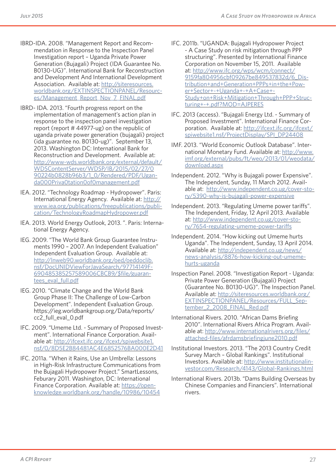- IBRD-IDA. 2008. "Management Report and Recommendation in Response to the Inspection Panel Investigation report – Uganda Private Power Generation (Bujagali) Project (IDA Guarantee No. B0130-UG)". International Bank for Reconstruction and Development And International Development Association. Available at: http://siteresources. worldbank.org/EXTINSPECTIONPANEL/Resources/Management\_Report\_Nov\_7\_FINAL.pdf
- IBRD- IDA. 2013. "Fourth progress report on the implementation of management's action plan in response to the inspection panel investigation report (report # 44977-ug) on the republic of uganda private power generation (bujagali) project (ida guarantee no. B0130-ug)". September 13, 2013. Washington DC: International Bank for Reconstruction and Development. Available at: http://www-wds.worldbank.org/external/default/ WDSContentServer/WDSP/IB/2015/02/27/0 90224b0828b96b3/1\_0/Rendered/PDF/Uganda000Priva0tation0of0management.pdf
- IEA. 2012. "Technology Roadmap Hydropower". Paris: International Energy Agency. Available at: http:// www.iea.org/publications/freepublications/publication/TechnologyRoadmapHydropower.pdf
- IEA. 2013. World Energy Outlook, 2013. ". Paris: International Energy Agency.
- IEG. 2009. "The World Bank Group Guarantee Instruments 1990 – 2007. An Independent Evaluation" Independent Evaluation Group. Available at: http://lnweb90.worldbank.org/oed/oeddoclib. nsf/DocUNIDViewForJavaSearch/97714149F-690485385257589006CBCB9/\$file/guarantees\_eval\_full.pdf
- IEG. 2010. "Climate Change and the World Bank Group Phase II: The Challenge of Low-Carbon Development". Independent Evaluation Group. https://ieg.worldbankgroup.org/Data/reports/ cc2\_full\_eval\_0.pdf
- IFC. 2009. "Umeme Ltd. Summary of Proposed Investment". International Finance Corporation. Available at: http://ifcext.ifc.org/ifcext/spiwebsite1. nsf/0/8D5E2B84481AC4E6852576BA000E2D41
- IFC. 2011a. "When it Rains, Use an Umbrella: Lessons in High-Risk Infrastructure Communications from the Bujagali Hydropower Project." SmartLessons, Feburary 2011. Washington, DC: International Finance Corporation. Available at: https://openknowledge.worldbank.org/handle/10986/10454
- IFC. 2011b. "UGANDA: Bujagali Hydropower Project - A Case Study on risk mitigation through PPP structuring". Presented by International Finance Corporation on November 15, 2011. Available at: http://www.ifc.org/wps/wcm/connect/ 9159fa804956cbf09267be849537832d/6\_Distribution+and+Generation+PPPs+in+the+Power+Sector+-+Uganda+-+A+Case+- Study+on+Risk+Mitigation+Through+PPP+Structuring+-+.pdf?MOD=AJPERES
- IFC. 2013 (access). "Bujagali Energy Ltd. Summary of Proposed Investment". International Finance Corporation. Available at: http://ifcext.ifc.org/ifcext/ spiwebsite1.nsf/ProjectDisplay/SPI\_DP24408
- IMF. 2013. "World Economic Outlook Database". International Monetary Fund. Available at: http://www. imf.org/external/pubs/ft/weo/2013/01/weodata/ download.aspx
- Independent. 2012. "Why is Bujagali power Expensive". The Independent, Sunday, 11 March 2012. Available at: http://www.independent.co.ug/cover-story/5390-why-is-bujagali-power-expensive
- Independent. 2013. "Regulating Umeme power tariffs". The Independent, Friday, 12 April 2013. Available at: http://www.independent.co.ug/cover-story/7654-regulating-umeme-power-tariffs
- Independent. 2014. "How kicking out Umeme hurts Uganda". The Independent, Sunday, 13 April 2014. Available at: http://independent.co.ug/news/ news-analysis/8876-how-kicking-out-umemehurts-uganda
- Inspection Panel. 2008. "Investigation Report Uganda: Private Power Generation (Bujagali) Project (Guarantee No. B0130-UG)". The Inspection Panel. Available at: http://siteresources.worldbank.org/ EXTINSPECTIONPANEL/Resources/FULL\_September 2 2008 FINAL Red.pdf
- International Rivers. 2010. "African Dams Briefing 2010". International Rivers Africa Program. Available at: http://www.internationalrivers.org/files/ attached-files/afrdamsbriefingjune2010.pdf
- Institutional Investors. 2013. "The 2013 Country Credit Survey March – Global Rankings". Institutional Investors. Available at: http://www.institutionalinvestor.com/Research/4143/Global-Rankings.html
- International Rivers. 2013b. "Dams Building Overseas by Chinese Companies and Financiers". International rivers.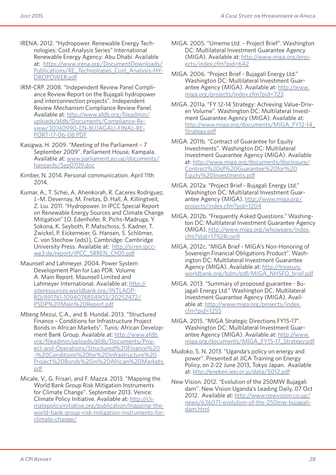- IRENA. 2012. "Hydropower. Renewable Energy Technologies: Cost Analysis Series" International Renewable Energy Agency: Abu Dhabi. Available at: https://www.irena.org/DocumentDownloads/ Publications/RE\_Technologies\_Cost\_Analysis-HY-DROPOWER.pdf
- IRM-CRP. 2008. "Independent Review Panel Compliance Review Report on the Bujagali hydropower and interconnection projects". Independent Review Mechanism Compliance Review Panel. Available at: http://www.afdb.org/fileadmin/ uploads/afdb/Documents/Compliance-Review/30740990-EN-BUJAGALI-FINAL-RE-PORT-17-06-08.PDF
- Kasigwa, H. 2009. "Meeting of the Parliament 7 September 2009". Parliament House, Kampala. Available at: www.parliament.go.ug/documents/ hansards/Sep0709.doc
- Kimber, N. 2014. Personal communication. April 11th 2014.
- Kumar, A., T. Schei, A. Ahenkorah, R. Caceres Rodriguez, J.-M. Devernay, M. Freitas, D. Hall, Å. Killingtveit, Z. Liu. 2011. "Hydropower. In IPCC Special Report on Renewable Energy Sources and Climate Change Mitigation" [O. Edenhofer, R. Pichs-Madruga, Y. Sokona, K. Seyboth, P. Matschoss, S. Kadner, T. Zwickel, P. Eickemeier, G. Hansen, S. Schlömer, C. von Stechow (eds)], Cambridge: Cambridge University Press. Available at: http://srren.ipccwg3.de/report/IPCC\_SRREN\_Ch05.pdf
- Maunsell and Lahmeyer. 2004. Power System Development Plan for Lao PDR. Volume A. Main Report. Maunsell Limited and Lahmeyer International. Available at: http:// siteresources.worldbank.org/INTLAOP-RD/491761-1094074854903/20252472/ PSDP%20Main%20Report.pdf
- Mbeng Mezui, C.A., and B. Hundal. 2013. "Structured Finance – Conditions for Infrastructure Project Bonds in African Markets". Tunis: African Development Bank Group. Available at: http://www.afdb. org/fileadmin/uploads/afdb/Documents/Project-and-Operations/Structured%20Finance%20 -%20Conditions%20for%20Infrastructure%20 Project%20Bonds%20in%20African%20Markets. pdf
- Micale, V., G. Frisari, and F. Mazza. 2013. "Mapping the World Bank Group Risk Mitigation Instruments for Climate Change". September 2013. Venice: Climate Policy Initiative. Available at: http://climatepolicyinitiative.org/publication/mapping-theworld-bank-group-risk-mitigation-instruments-forclimate-change/
- MIGA. 2005. "Umeme Ltd. Project Brief". Washington DC: Multilateral Investment Guarantee Agency (MIGA). Available at: http://www.miga.org/projects/index.cfm?pid=642
- MIGA. 2006. "Project Brief Bujagali Energy Ltd." Washington DC: Multilateral Investment Guarantee Agency (MIGA). Available at: http://www. miga.org/projects/index.cfm?pid=723
- MIGA. 2011a. "FY 12-14 Strategy: Achieving Value-Driven Volume". Washington DC: Multilateral Investment Guarantee Agency (MIGA). Available at: http://www.miga.org/documents/MIGA\_FY12-14\_ Strategy.pdf
- MIGA. 2011b. "Contract of Guarantee for Equity Investments". Washington DC: Multilateral Investment Guarantee Agency (MIGA). Available at: http://www.miga.org/documents/disclosure/ Contract%20of%20Guarantee%20for%20 Equity%20Investments.pdf
- MIGA. 2012a. "Project Brief Bujagali Energy Ltd." Washington DC: Multilateral Investment Guarantee Agency (MIGA). http://www.miga.org/ projects/index.cfm?pid=1204
- MIGA. 2012b. "Frequently Asked Questions." Washington DC: Multilateral Investment Guarantee Agency (MIGA). http://www.miga.org/whoweare/index. cfm?stid=1792#con9
- MIGA. 2012c. "MIGA Brief MIGA's Non-Honoring of Sovereign Financial Obligations Product". Washington DC: Multilateral Investment Guarantee Agency (MIGA). Available at: http://treasury. worldbank.org/bdm/pdf/MIGA\_NHSFO\_brief.pdf
- MIGA. 2013. "Summary of proposed guarantee Bujagali Energy Ltd." Washington DC: Multilateral Investment Guarantee Agency (MIGA). Available at: http://www.miga.org/projects/index. cfm?pid=1255
- MIGA. 2015. "MIGA Strategic Directions FY15-17". Washington DC: Multilateral Investment Guarantee Agency (MIGA). Available at: http://www. miga.org/documents/MIGA\_FY15-17\_Strategy.pdf
- Mudoko, S. N. 2013. "Uganda's policy on energy and power". Presented at JICA Training on Energy Policy, on 2-22 June 2013, Tokyo Japan. Available at: http://eneken.ieej.or.jp/data/5012.pdf
- New Vision. 2012. "Evolution of the 250MW Bujagali dam". New Vision Uganda's Leading Daily, 07 Oct 2012. Available at: http://www.newvision.co.ug/ news/636071-evolution-of-the-250mw-bujagalidam.html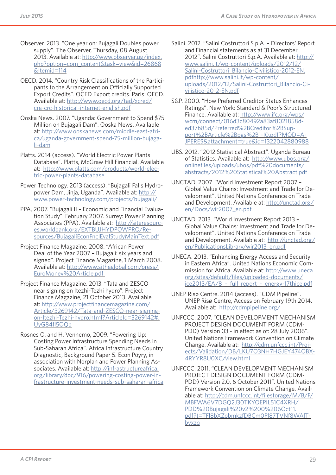- Observer. 2013. "One year on: Bujagali Doubles power supply". The Observer, Thursday, 08 August 2013. Available at: http://www.observer.ug/index. php?option=com\_content&task=view&id=26868 &Itemid=114
- OECD. 2014. "Country Risk Classifications of the Participants to the Arrangement on Officially Supported Export Credits". OCED Export credits. Paris: OECD. Available at: http://www.oecd.org/tad/xcred/ cre-crc-historical-internet-english.pdf
- Ooska News. 2007. "Uganda: Government to Spend \$75 Million on Bujagali Dam". Ooska News. Available at: http://www.ooskanews.com/middle-east-africa/uganda-government-spend-75-million-bujagali-dam
- Platts. 2014 (access). "World Electric Power Plants Database". Platts, McGraw Hill Financial. Available at: http://www.platts.com/products/world-electric-power-plants-database
- Power Technology. 2013 (access). "Bujagali Falls Hydropower Dam, Jinja, Uganda". Available at: http:// www.power-technology.com/projects/bujagali/
- PPA, 2007. "Bujagali II Economic and Financial Evaluation Study". February 2007. Surrey: Power Planning Associates (PPA). Available at: http://siteresources.worldbank.org/EXTBUJHYDPOWPRO/Resources/BujagaliEconFnclEvalStudyMainText.pdf
- Project Finance Magazine. 2008. "African Power Deal of the Year 2007 – Bujagali: six years and signed". Project Finance Magazine, 1 March 2008. Available at: http://www.sitheglobal.com/press/ EuroMoney%20Article.pdf
- Project Finance Magazine. 2013. "Tata and ZESCO near signing on Itezhi-Tezhi hydro". Project Finance Magazine, 21 October 2013. Available at: http://www.projectfinancemagazine.com/ Article/3269142/Tata-and-ZESCO-near-signingon-Itezhi-Tezhi-hydro.html?ArticleId=3269142#. UyG84fl5OQq
- Rosnes O. and H. Vennemo, 2009. "Powering Up: Costing Power Infrastructure Spending Needs in Sub-Saharan Africa". Africa Infrastructure Country Diagnostic, Background Paper 5. Econ Pöyry, in association with Norplan and Power Planning Associates. Available at: http://infrastructureafrica. org/library/doc/916/powering-costing-power-infrastructure-investment-needs-sub-saharan-africa
- Salini. 2012. "Salini Costruttori S.p.A. Directors' Report and Financial statements as at 31 December 2012". Salini Costruttori S.p.A. Available at: http:// www.salini.it/wp-content/uploads/2012/12/ Salini-Costruttori\_Bilancio-Civilistico-2012-EN. pdfhttp://www.salini.it/wp-content/ uploads/2012/12/Salini-Costruttori\_Bilancio-Civilistico-2012-EN.pdf
- S&P. 2000. "How Preferred Creditor Status Enhances Ratings". New York: Standard & Poor's Structured Finance. Available at: http://www.ifc.org/wps/ wcm/connect/016d3c80492a83af8021858ded37b85d/Preferred%2BCreditor%2BSupport%2BArticle%2Bpgs%2B1-10.pdf?MOD=A-JPERES&attachment=true&id=1322042880988
- UBS. 2012. "2012 Statistical Abstract". Uganda Bureau of Statistics. Available at: http://www.ubos.org/ onlinefiles/uploads/ubos/pdf%20documents/ abstracts/2012%20Statistical%20Abstract.pdf
- UNCTAD. 2007. "World Investment Report 2007 Global Value Chains: Investment and Trade for Development". United Nations Conference on Trade and Development. Available at: http://unctad.org/ en/Docs/wir2007\_en.pdf
- UNCTAD. 2013. "World Investment Report 2013 Global Value Chains: Investment and Trade for Development". United Nations Conference on Trade and Development. Available at: http://unctad.org/ en/PublicationsLibrary/wir2013\_en.pdf
- UNECA. 2013. "Enhancing Energy Access and Security in Eastern Africa". United Nations Economic Commission for Africa. Available at: http://www.uneca. org/sites/default/files/uploaded-documents/ ice2013/EA/8 - full report - energy-17thice.pdf
- UNEP Risø Centre. 2014 (access). "CDM Pipeline". UNEP Risø Centre, Access on February 19th 2014. Available at: http://cdmpipeline.org/
- UNFCCC. 2007. "CLEAN DEVELOPMENT MECHANISM PROJECT DESIGN DOCUMENT FORM (CDM-PDD) Version 03 - in effect as of: 28 July 2006". United Nations Framework Convention on Climate Change. Available at: http://cdm.unfccc.int/Projects/Validation/DB/LKU7O3NH7HGJEY474OBX-4RYYR8U0XC/view.html
- UNFCCC. 2011. "CLEAN DEVELOPMENT MECHANISM PROJECT DESIGN DOCUMENT FORM (CDM-PDD) Version 2.0, 6 October 2011". United Nations Framework Convention on Climate Change. Available at: http://cdm.unfccc.int/filestorage/M/B/F/ MBFWA6V7DGQ2J30TKYOEPIL51C4XRH/ PDD%20Bujagali%20v2%200%206Oct11. pdf?t=TFl8bXZobmkzfDBCm0Pl87TVNf8WAlTbyxzq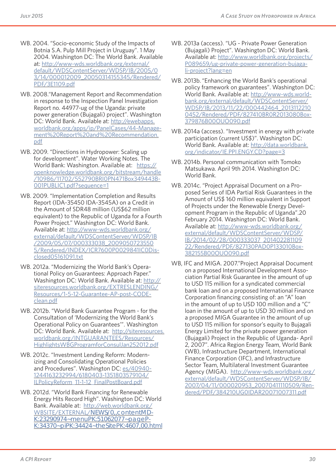- WB. 2004. "Socio-economic Study of the Impacts of Botnia S.A. Pulp Mill Project in Uruguay". 1 May 2004. Washington DC: The World Bank. Available at: http://www-wds.worldbank.org/external/ default/WDSContentServer/WDSP/IB/2005/0 3/14/000012009\_20050314155345/Rendered/ PDF/3E1109.pdf
- WB. 2008."Management Report and Recommendation in response to the Inspection Panel Investigation Report no. 44977-ug of the Uganda: private power generation (Bujagali) project". Washington DC: World Bank. Available at: http://ewebapps. worldbank.org/apps/ip/PanelCases/44-Management%20Report%20and%20Recommendation. pdf
- WB. 2009. "Directions in Hydropower: Scaling up for development". Water Working Notes. The World Bank: Washington. Available at: https:// openknowledge.worldbank.org/bitstream/handle /10986/11702/552790BRI0PN471Box349443B-001PUBLIC1.pdf?sequence=1
- WB. 2009. "Implementation Completion and Results Report (IDA-35450 IDA-3545A) on a Credit in the Amount of SDR48 million (US\$62 million equivalent) to the Republic of Uganda for a Fourth Power Project." Washington DC: World Bank. Available at: http://www-wds.worldbank.org/ external/default/WDSContentServer/WDSP/IB /2009/05/07/000333038\_2009050723550 5/Rendered/INDEX/ICR7600P0029841IC0Disclosed05161091.txt
- WB. 2012a. "Modernizing the World Bank's Operational Policy on Guarantees: Approach Paper." Washington DC: World Bank. Available at: http:// siteresources.worldbank.org/EXTRESLENDING/ Resources/1-5-12-Guarantee-AP-post-CODEclean.pdf
- WB. 2012b. "World Bank Guarantee Program for the Consultation of 'Modernizing the World Bank's Operational Policy on Guarantees'". Washington DC: World Bank. Available at: http://siteresources. worldbank.org/INTGUARANTEES/Resources/ HighlightsWBGProgramforConsulJan252012.pdf
- WB. 2012c. "Investment Lending Reform: Modernizing and Consolidating Operational Policies and Procedures". Washington DC: es/40940- 1244163232994/6180403-1351803579104/ ILPolicyReform\_11-1-12\_FinalPostBoard.pdf
- WB. 2012d. "World Bank Financing for Renewable Energy Hits Record High". Washington DC: World Bank. Available at: http://web.worldbank.org/ WBSITE/EXTERNAL/NEWS/0,,contentMD-K:23290974~menuPK:51062077~pageP-K:34370~piPK:34424~theSitePK:4607,00.html
- WB. 2013a (access). "UG Private Power Generation (Bujagali) Project". Washington DC: World Bank. Available at: http://www.worldbank.org/projects/ P089659/ug-private-power-generation-bujagali-project?lang=en
- WB. 2013b. "Enhancing the World Bank's operational policy framework on guarantees". Washington DC: World Bank. Available at: http://www-wds.worldbank.org/external/default/WDSContentServer/ WDSP/IB/2013/11/22/000442464\_2013112210 0452/Rendered/PDF/827410BR0R2013080Box-379876B00OUO090.pdf
- WB. 2014a (access). "Investment in energy with private participation (current US\$)". Washington DC: World Bank. Available at: http://data.worldbank. org/indicator/IE.PPI.ENGY.CD?page=3
- WB. 2014b. Personal communication with Tomoko Matsukawa. April 9th 2014. Washington DC: World Bank.
- WB. 2014c. "Project Appraisal Document on a Proposed Series of IDA Partial Risk Guarantees in the Amount of US\$ 160 million equivalent in Support of Projects under the Renewable Energy Development Program in the Republic of Uganda".20 February 2014. Washington DC: World Bank. Available at: http://www-wds.worldbank.org/ external/default/WDSContentServer/WDSP/ IB/2014/02/28/000333037\_201402281109 22/Rendered/PDF/827130PAD0P133010Box-382155B00OUO090.pdf
- WB, IFC and MIGA. 2007."Project Appraisal Document on a proposed International Development Association Partial Risk Guarantee in the amount of up to USD 115 million for a syndicated commercial bank loan and on a proposed International Finance Corporation financing consisting of: an "A" loan in the amount of up to USD 100 million and a "C" loan in the amount of up to USD 30 million and on a proposed MIGA Guarantee in the amount of up to USD 115 million for sponsor's equity to Bujagali Energy Limited for the private power generation (Bujagali) Project in the Republic of Uganda- April 2, 2007". Africa Region Energy Team, World Bank (WB), Infrastructure Department, International Finance Corporation (IFC), and Infrastructure Sector Team, Multilateral Investment Guarantee Agency (MIGA). http://www-wds.worldbank.org/ external/default/WDSContentServer/WDSP/IB/ 2007/04/11/000020953\_20070411110509/Rendered/PDF/384210UG0IDAR20071007311.pdf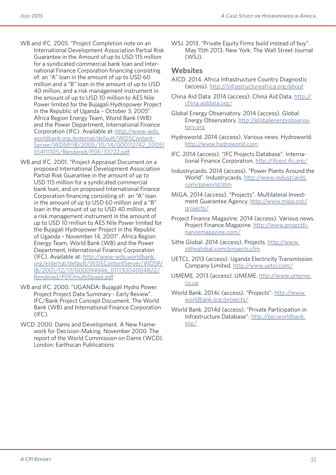- WB and IFC. 2005. "Project Completion note on an International Development Association Partial Risk Guarantee in the Amount of up to USD 115 million for a syndicated commercial bank loan and International Finance Corporation financing consisting of: an "A" loan in the amount of up to USD 60 million and a "B" loan in the amount of up to USD 40 million, and a risk management instrument in the amount of up to USD 10 million to AES Nile Power limited for the Bujagali Hydropower Project in the Republic of Uganda – October 3, 2005". Africa Region Energy Team, World Bank (WB) and the Power Department, International Finance Corporation (IFC). Available at: http://www-wds. worldbank.org/external/default/WDSContent-Server/WDSP/IB/2005/10/14/000112742\_20051 014111105/Rendered/PDF/33722.pdf
- WB and IFC. 2001. "Project Appraisal Document on a proposed International Development Association Partial Risk Guarantee in the amount of up to USD 115 million for a syndicated commercial bank loan, and on proposed International Finance Corporation financing consisting of: an "A" loan in the amount of up to USD 60 million and a "B" loan in the amount of up to USD 40 million, and a risk management instrument in the amount of up to USD 10 million to AES Nile Power limited for the Bujagali Hydropower Project in the Republic of Uganda – November 14, 2001". Africa Region Energy Team, World Bank (WB) and the Power Department, International Finance Corporation (IFC). Available at: http://www-wds.worldbank. org/external/default/WDSContentServer/WDSP/ IB/2001/12/17/000094946\_01113004004822/ Rendered/PDF/multi0page.pdf
- WB and IFC. 2000. "UGANDA: Bujagali Hydro Power Project Project Data Summary - Early Review". IFC/Bank Project Concept Document. The World Bank (WB) and International Finance Corporation (IFC).
- WCD. 2000. Dams and Development. A New Framework for Decision-Making. November 2000. The report of the World Commission on Dams (WCD). London: Earthscan Publications

WSJ. 2013. "Private Equity Firms build instead of buy". May 15th 2013. New York: The Wall Street Journal (WSJ).

### **Websites**

- AICD. 2014. Africa Infrastructure Country Diagnostic (access). http://infrastructureafrica.org/about
- China Aid Data. 2014 (access). China Aid Data. http:// china.aiddata.org/
- Global Energy Observatory. 2014 (access). Global Energy Observatory. http://globalenergyobservatory.org
- Hydroworld. 2014 (access). Various news. Hydroworld. http://www.hydroworld.com
- IFC. 2014 (access). "IFC Projects Database". International Finance Corporation. http://ifcext.ifc.org/
- Industrycards. 2014 (access). "Power Plants Around the World". Industrycards. http://www.industcards. com/ppworld.htm
- MIGA. 2014 (access). "Projects". Multilateral Investment Guarantee Agency. http://www.miga.org/ projects/
- Project Finance Magazine. 2014 (access). Various news. Project Finance Magazine. http://www.projectfinancemagazine.com/
- Sithe Global. 2014 (access). Projects. http://www. sitheglobal.com/projects.cfm
- UETCL. 2013 (access). Uganda Electricity Transmission Company Limited. http://www.uetcl.com/
- UMEME. 2013 (access). UMEME. http://www.umeme. co.ug
- World Bank. 2014c (access). "Projects". http://www. worldbank.org/projects/
- World Bank. 2014d (access). "Private Participation in Infrastructure Database". http://ppi.worldbank. org/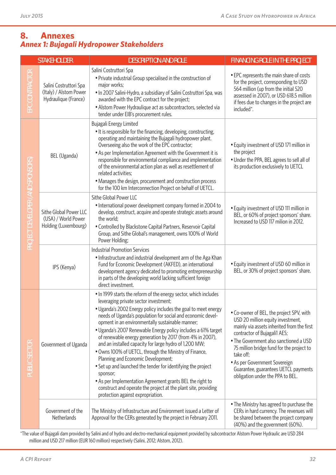## *Annex 1: Bujagali Hydropower Stakeholders* **8. Annexes**

|                                  | <b>STAKEHOLDER</b>                                                       | <b>DESCRIPTION AND ROLE</b>                                                                                                                                                                                                                                                                                                                                                                                                                                                                                                                                                                                                                                                                                                                                                                                                            | <b>FINANCING ROLE IN THE PROJECT</b>                                                                                                                                                                                                                                                                                                                                         |
|----------------------------------|--------------------------------------------------------------------------|----------------------------------------------------------------------------------------------------------------------------------------------------------------------------------------------------------------------------------------------------------------------------------------------------------------------------------------------------------------------------------------------------------------------------------------------------------------------------------------------------------------------------------------------------------------------------------------------------------------------------------------------------------------------------------------------------------------------------------------------------------------------------------------------------------------------------------------|------------------------------------------------------------------------------------------------------------------------------------------------------------------------------------------------------------------------------------------------------------------------------------------------------------------------------------------------------------------------------|
| EPC CONTRACTOR                   | Salini Costruttori Spa<br>(Italy) / Alstom Power<br>Hydraulique (France) | Salini Costruttori Spa<br>• Private industrial Group specialised in the construction of<br>major works;<br>. In 2007 Salini-Hydro, a subsidiary of Salini Costruttori Spa, was<br>awarded with the EPC contract for the project;<br>• Alstom Power Hydraulique act as subcontractors, selected via<br>tender under EIB's procurement rules.                                                                                                                                                                                                                                                                                                                                                                                                                                                                                            | • EPC represents the main share of costs<br>for the project, corresponding to USD<br>564 million (up from the initial 520<br>assessed in 2007), or USD 618.5 million<br>if fees due to changes in the project are<br>included*.                                                                                                                                              |
| PROJECT DEVELOPER (AND SPONSORS) | BEL (Uganda)                                                             | Bujagali Energy Limited<br>• It is responsible for the financing, developing, constructing,<br>operating and maintaining the Bujagali hydropower plant.<br>Overseeing also the work of the EPC contractor;<br>• As per Implementation Agreement with the Government it is<br>responsible for environmental compliance and implementation<br>of the environmental action plan as well as resettlement of<br>related activities;<br>• Manages the design, procurement and construction process<br>for the 100 km Interconnection Project on behalf of UETCL.                                                                                                                                                                                                                                                                             | • Equity investment of USD 171 million in<br>the project<br>• Under the PPA, BEL agrees to sell all of<br>its production exclusively to UETCL                                                                                                                                                                                                                                |
|                                  | Sithe Global Power LLC<br>(USA) / World Power<br>Holding (Luxembourg)    | Sithe Global Power LLC<br>• International power development company formed in 2004 to<br>develop, construct, acquire and operate strategic assets around<br>the world;<br>• Controlled by Blackstone Capital Partners, Reservoir Capital<br>Group, and Sithe Global's management, owns 100% of World<br>Power Holding;                                                                                                                                                                                                                                                                                                                                                                                                                                                                                                                 | • Equity investment of USD 111 million in<br>BEL, or 60% of project sponsors' share.<br>Increased to USD 117 milion in 2012.                                                                                                                                                                                                                                                 |
|                                  | IPS (Kenya)                                                              | <b>Industrial Promotion Services</b><br>• Infrastructure and industrial development arm of the Aga Khan<br>Fund for Economic Development (AKFED), an international<br>development agency dedicated to promoting entrepreneurship<br>in parts of the developing world lacking sufficient foreign<br>direct investment.                                                                                                                                                                                                                                                                                                                                                                                                                                                                                                                  | • Equity investment of USD 60 million in<br>BEL, or 30% of project sponsors' share.                                                                                                                                                                                                                                                                                          |
| PUBLIC SECTOR                    | Government of Uganda                                                     | . In 1999 starts the reform of the energy sector, which includes<br>leveraging private sector investment;<br>• Uganda's 2002 Energy policy includes the goal to meet energy<br>needs of Uganda's population for social and economic devel-<br>opment in an environmentally sustainable manner;<br>• Uganda's 2007 Renewable Energy policy includes a 61% target<br>of renewable energy generation by 2017 (from 4% in 2007),<br>and an installed capacity for large hydro of 1,200 MW;<br>• Owns 100% of UETCL, through the Ministry of Finance,<br>Planning and Economic Development;<br>• Set up and launched the tender for identifying the project<br>sponsor;<br>• As per Implementation Agreement grants BEL the right to<br>construct and operate the project at the plant site, providing<br>protection against expropriation. | • Co-owner of BEL, the project SPV, with<br>USD 20 million equity investment,<br>mainly via assets inherited from the first<br>contractor of Bujagali1 AES;<br>• The Government also sanctioned a USD<br>75 million bridge fund for the project to<br>take off;<br>• As per Government Sovereign<br>Guarantee, guarantees UETCL payments<br>obligation under the PPA to BEL. |
|                                  | Government of the<br>Netherlands                                         | The Ministry of Infrastructure and Environment issued a Letter of<br>Approval for the CERs generated by the project in February 2011.                                                                                                                                                                                                                                                                                                                                                                                                                                                                                                                                                                                                                                                                                                  | • The Ministry has agreed to purchase the<br>CERs in hard currency. The revenues will<br>be shared between the project company<br>(40%) and the government (60%).                                                                                                                                                                                                            |

\*The value of Bujagali dam provided by Salini and of hydro and electro-mechanical equipment provided by subcontractor Alstom Power Hydraulic are USD 284 million and USD 217 million (EUR 160 million) respectively (Salini, 2012; Alstom, 2012).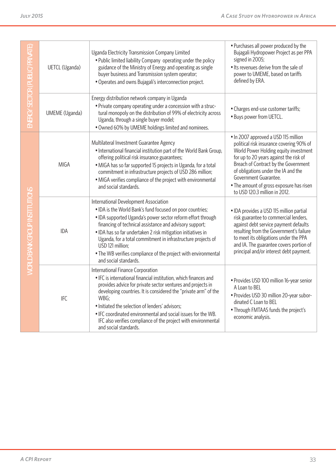| ENERGY SECTOR (PUBLIC/PRIVAT         | UETCL (Uganda) | Uganda Electricity Transmission Company Limited<br>• Public limited liability Company operating under the policy<br>guidance of the Ministry of Energy and operating as single<br>buyer business and Transmission system operator;<br>• Operates and owns Bujagali's interconnection project.                                                                                                                                                                               | • Purchases all power produced by the<br>Bujagali Hydropower Project as per PPA<br>signed in 2005;<br>• Its revenues derive from the sale of<br>power to UMEME, based on tariffs<br>defined by ERA.                                                                                                                                                      |  |  |  |
|--------------------------------------|----------------|-----------------------------------------------------------------------------------------------------------------------------------------------------------------------------------------------------------------------------------------------------------------------------------------------------------------------------------------------------------------------------------------------------------------------------------------------------------------------------|----------------------------------------------------------------------------------------------------------------------------------------------------------------------------------------------------------------------------------------------------------------------------------------------------------------------------------------------------------|--|--|--|
|                                      | UMEME (Uganda) | Energy distribution network company in Uganda<br>• Private company operating under a concession with a struc-<br>tural monopoly on the distribution of 99% of electricity across<br>Uganda, through a single buyer model;<br>• Owned 60% by UMEME holdings limited and nominees.                                                                                                                                                                                            | • Charges end-use customer tariffs;<br>• Buys power from UETCL.                                                                                                                                                                                                                                                                                          |  |  |  |
| <b>MORLD BANK GROUP INSTITUTIONS</b> | <b>MIGA</b>    | Multilateral Investment Guarantee Agency<br>• International financial institution part of the World Bank Group,<br>offering political risk insurance guarantees;<br>• MIGA has so far supported 15 projects in Uganda, for a total<br>commitment in infrastructure projects of USD 286 million;<br>• MIGA verifies compliance of the project with environmental<br>and social standards.                                                                                    | • In 2007 approved a USD 115 million<br>political risk insurance covering 90% of<br>World Power Holding equity investment<br>for up to 20 years against the risk of<br>Breach of Contract by the Government<br>of obligations under the IA and the<br>Government Guarantee.<br>• The amount of gross exposure has risen<br>to USD 120.3 million in 2012. |  |  |  |
|                                      | <b>IDA</b>     | International Development Association<br>• IDA is the World Bank's fund focused on poor countries;<br>• IDA supported Uganda's power sector reform effort through<br>financing of technical assistance and advisory support;<br>• IDA has so far undertaken 2 risk mitigation initiatives in<br>Uganda, for a total commitment in infrastructure projects of<br>USD 121 million;<br>• The WB verifies compliance of the project with environmental<br>and social standards. | • IDA provides a USD 115 million partial<br>risk guarantee to commercial lenders,<br>against debt service payment defaults<br>resulting from the Government's failure<br>to meet its obligations under the PPA<br>and IA. The guarantee covers portion of<br>principal and/or interest debt payment.                                                     |  |  |  |
|                                      | <b>IFC</b>     | International Finance Corporation<br>• IFC is international financial institution, which finances and<br>provides advice for private sector ventures and projects in<br>developing countries. It is considered the "private arm" of the<br>WBG;<br>• Initiated the selection of lenders' advisors;<br>. IFC coordinated environmental and social issues for the WB.<br>IFC also verifies compliance of the project with environmental<br>and social standards.              | • Provides USD 100 million 16-year senior<br>A Loan to BEL<br>• Provides USD 30 million 20-year subor-<br>dinated C Loan to BEL<br>• Through FMTAAS funds the project's<br>economic analysis.                                                                                                                                                            |  |  |  |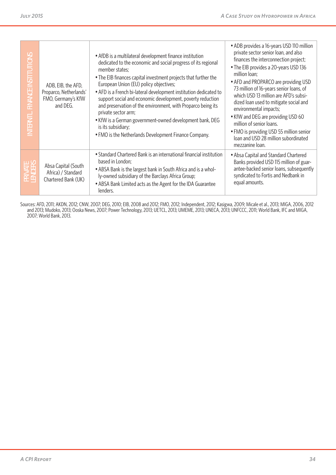| SNO<br>FINANCE INSTITUTI<br>NTERNTL. | ADB, EIB, the AFD,<br>Proparco, Netherlands'<br>FMO, Germany's KfW<br>and DEG. | • AfDB is a multilateral development finance institution<br>dedicated to the economic and social progress of its regional<br>member states;<br>• The EIB finances capital investment projects that further the<br>European Union (EU) policy objectives;<br>• AFD is a French bi-lateral development institution dedicated to<br>support social and economic development, poverty reduction<br>and preservation of the environment, with Proparco being its<br>private sector arm;<br>• KfW is a German government-owned development bank, DEG<br>is its subsidiary;<br>• FMO is the Netherlands Development Finance Company. | • ADB provides a 16-years USD 110 million<br>private sector senior loan, and also<br>finances the interconnection project;<br>• The EIB provides a 20-years USD 136<br>million loan;<br>• AFD and PROPARCO are providing USD<br>73 million of 16-years senior loans, of<br>which USD 13 million are AFD's subsi-<br>dized loan used to mitigate social and<br>environmental impacts;<br>• KfW and DEG are providing USD 60<br>million of senior loans.<br>• FMO is providing USD 55 million senior<br>loan and USD 28 million subordinated<br>mezzanine loan. |
|--------------------------------------|--------------------------------------------------------------------------------|-------------------------------------------------------------------------------------------------------------------------------------------------------------------------------------------------------------------------------------------------------------------------------------------------------------------------------------------------------------------------------------------------------------------------------------------------------------------------------------------------------------------------------------------------------------------------------------------------------------------------------|---------------------------------------------------------------------------------------------------------------------------------------------------------------------------------------------------------------------------------------------------------------------------------------------------------------------------------------------------------------------------------------------------------------------------------------------------------------------------------------------------------------------------------------------------------------|
| <b>HES</b><br>운프                     | Absa Capital (South<br>Africa) / Standard<br>Chartered Bank (UK)               | • Standard Chartered Bank is an international financial institution<br>based in London;<br>• ABSA Bank is the largest bank in South Africa and is a whol-<br>ly-owned subsidiary of the Barclays Africa Group;<br>• ABSA Bank Limited acts as the Agent for the IDA Guarantee<br>lenders.                                                                                                                                                                                                                                                                                                                                     | • Absa Capital and Standard Chartered<br>Banks provided USD 115 million of guar-<br>antee-backed senior loans, subsequently<br>syndicated to Fortis and Nedbank in<br>equal amounts.                                                                                                                                                                                                                                                                                                                                                                          |
|                                      | 2007; World Bank, 2013.                                                        | Sources: AFD, 2011; AKDN, 2012; CNW, 2007; DEG, 2010; EIB, 2008 and 2012; FMO, 2012; Independent, 2012; Kasigwa, 2009; Micale et al., 2013; MIGA, 2006, 2012<br>and 2013; Mudoko, 2013; Ooska News, 2007; Power Technology, 2013; UETCL, 2013; UMEME, 2013; UNECA, 2013; UNFCCC, 2011; World Bank, IFC and MIGA,                                                                                                                                                                                                                                                                                                              |                                                                                                                                                                                                                                                                                                                                                                                                                                                                                                                                                               |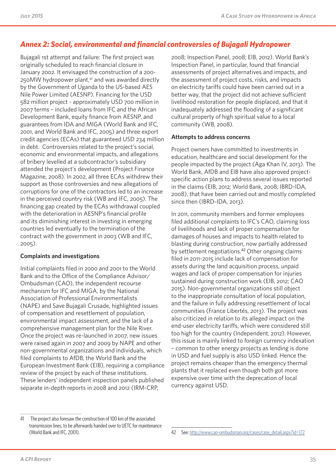## *Annex 2: Social, environmental and financial controversies of Bujagali Hydropower*

Bujagali 1st attempt and failure: The first project was originally scheduled to reach financial closure in January 2002. It envisaged the construction of a 200- 250MW hydropower plant,<sup>41</sup> and was awarded directly by the Government of Uganda to the US-based AES Nile Power Limited (AESNP). Financing for the USD 582 million project - approximately USD 700 million in 2007 terms – included loans from IFC and the African Development Bank, equity finance from AESNP, and guarantees from IDA and MIGA (World Bank and IFC, 2001, and World Bank and IFC, 2005) and three export credit agencies (ECAs) that guaranteed USD 234 million in debt. Controversies related to the project's social, economic and environmental impacts, and allegations of bribery levelled at a subcontractor's subsidiary attended the project's development (Project Finance Magazine, 2008). In 2002, all three ECAs withdrew their support as those controversies and new allegations of corruptions for one of the contractors led to an increase in the perceived country risk (WB and IFC, 2005). The financing gap created by the ECAs withdrawal coupled with the deterioration in AESNP's financial profile and its diminishing interest in investing in emerging countries led eventually to the termination of the contract with the government in 2003 (WB and IFC, 2005).

### **Complaints and investigations**

Initial complaints filed in 2000 and 2001 to the World Bank and to the Office of the Compliance Advisor/ Ombudsman (CAO), the independent recourse mechanism for IFC and MIGA, by the National Association of Professional Environmentalists (NAPE) and Save Bujagali Crusade, highlighted issues of compensation and resettlement of population, environmental impact assessment, and the lack of a comprehensive management plan for the Nile River. Once the project was re-launched in 2007, new issues were raised again in 2007 and 2009 by NAPE and other non-governmental organizations and individuals, which filed complaints to AfDB, the World Bank and the European Investment Bank (EIB), requiring a compliance review of the project by each of these institutions. These lenders' independent inspection panels published separate in-depth reports in 2008 and 2012 (IRM-CRP,

2008; Inspection Panel, 2008; EIB, 2012). World Bank's Inspection Panel, in particular, found that financial assessments of project alternatives and impacts, and the assessment of project costs, risks, and impacts on electricity tariffs could have been carried out in a better way, that the project did not achieve sufficient livelihood restoration for people displaced, and that it inadequately addressed the flooding of a significant cultural property of high spiritual value to a local community (WB, 2008).

### **Attempts to address concerns**

Project owners have committed to investments in education, healthcare and social development for the people impacted by the project (Aga Khan IV, 2013). The World Bank, AfDB and EIB have also approved projectspecific action plans to address several issues reported in the claims (EIB, 2012; World Bank, 2008; IBRD-IDA, 2008), that have been carried out and mostly completed since then (IBRD-IDA, 2013).

In 2011, community members and former employees filed additional complaints to IFC's CAO, claiming loss of livelihoods and lack of proper compensation for damages of houses and impacts to health related to blasting during construction, now partially addressed by settlement negotiations.<sup>42</sup> Other ongoing claims filed in 2011-2015 include lack of compensation for assets during the land acquisition process, unpaid wages and lack of proper compensation for injuries sustained during construction work (EIB, 2012; CAO 2015). Non-governmental organizations still object to the inappropriate consultation of local population, and the failure in fully addressing resettlement of local communities (France Libertés, 2013). The project was also criticized in relation to its alleged impact on the end-user electricity tariffs, which were considered still too high for the country (Independent, 2012). However, this issue is mainly linked to foreign currency indexation – common to other energy projects as lending is done in USD and fuel supply is also USD linked. Hence the project remains cheaper than the emergency thermal plants that it replaced even though both got more expensive over time with the deprecation of local currency against USD.

<sup>41</sup> The project also foresaw the construction of 100 km of the associated transmission lines, to be afterwards handed over to UETC for maintenance (World Bank and IFC, 2001).

<sup>42</sup> See: http://www.cao-ombudsman.org/cases/case\_detail.aspx?id=172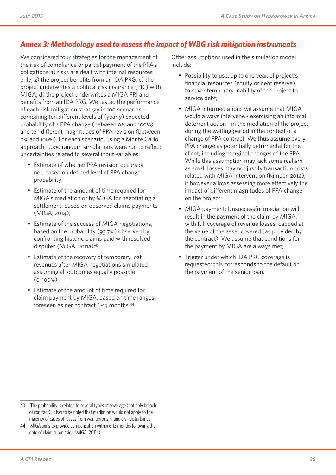## *Annex 3: Methodology used to assess the impact of WBG risk mitigation instruments*

We considered four strategies for the management of the risk of compliance or partial payment of the PPA's obligations: 1) risks are dealt with internal resources only; 2) the project benefits from an IDA PRG; c) the project underwrites a political risk insurance (PRI) with MIGA; d) the project underwrites a MIGA PRI and benefits from an IDA PRG. We tested the performance of each risk mitigation strategy in 100 scenarios – combining ten different levels of (yearly) expected probability of a PPA change (between 0% and 100%) and ten different magnitudes of PPA revision (between 0% and 100%). For each scenario, using a Monte Carlo approach, 1,000 random simulations were run to reflect uncertainties related to several input variables:

- Estimate of whether PPA revision occurs or not, based on defined level of PPA change probability;
- Estimate of the amount of time required for MIGA's mediation or by MIGA for negotiating a settlement, based on observed claims payments (MIGA, 2014);
- Estimate of the success of MIGA negotiations, based on the probability (93.7%) observed by confronting historic claims paid with resolved disputes (MIGA, 2011a);43
- Estimate of the recovery of temporary lost revenues after MIGA negotiations simulated assuming all outcomes equally possible (0-100%);
- Estimate of the amount of time required for claim payment by MIGA, based on time ranges foreseen as per contract 6-13 months.44

Other assumptions used in the simulation model include:

- Possibility to use, up to one year, of project's financial resources (equity or debt reserve) to cover temporary inability of the project to service debt;
- MIGA intermediation: we assume that MIGA would always intervene - exercising an informal deterrent action - in the mediation of the project during the waiting period in the context of a change of PPA contract. We thus assume every PPA change as potentially detrimental for the client, including marginal changes of the PPA. While this assumption may lack some realism as small losses may not justify transaction costs related with MIGA intervention (Kimber, 2014), it however allows assessing more effectively the impact of different magnitudes of PPA change on the project;
- MIGA payment: Unsuccessful mediation will result in the payment of the claim by MIGA, with full coverage of revenue losses, capped at the value of the asset covered (as provided by the contract). We assume that conditions for the payment by MIGA are always met;
- Trigger under which IDA PRG coverage is requested: this corresponds to the default on the payment of the senior loan.

<sup>43</sup> The probability is related to several types of coverage (not only breach of contract). It has to be noted that mediation would not apply to the majority of cases of losses from war, terrorism, and civil disturbance.

<sup>44</sup> MIGA aims to provide compensation within 6-13 months following the date of claim submission (MIGA, 2011b)